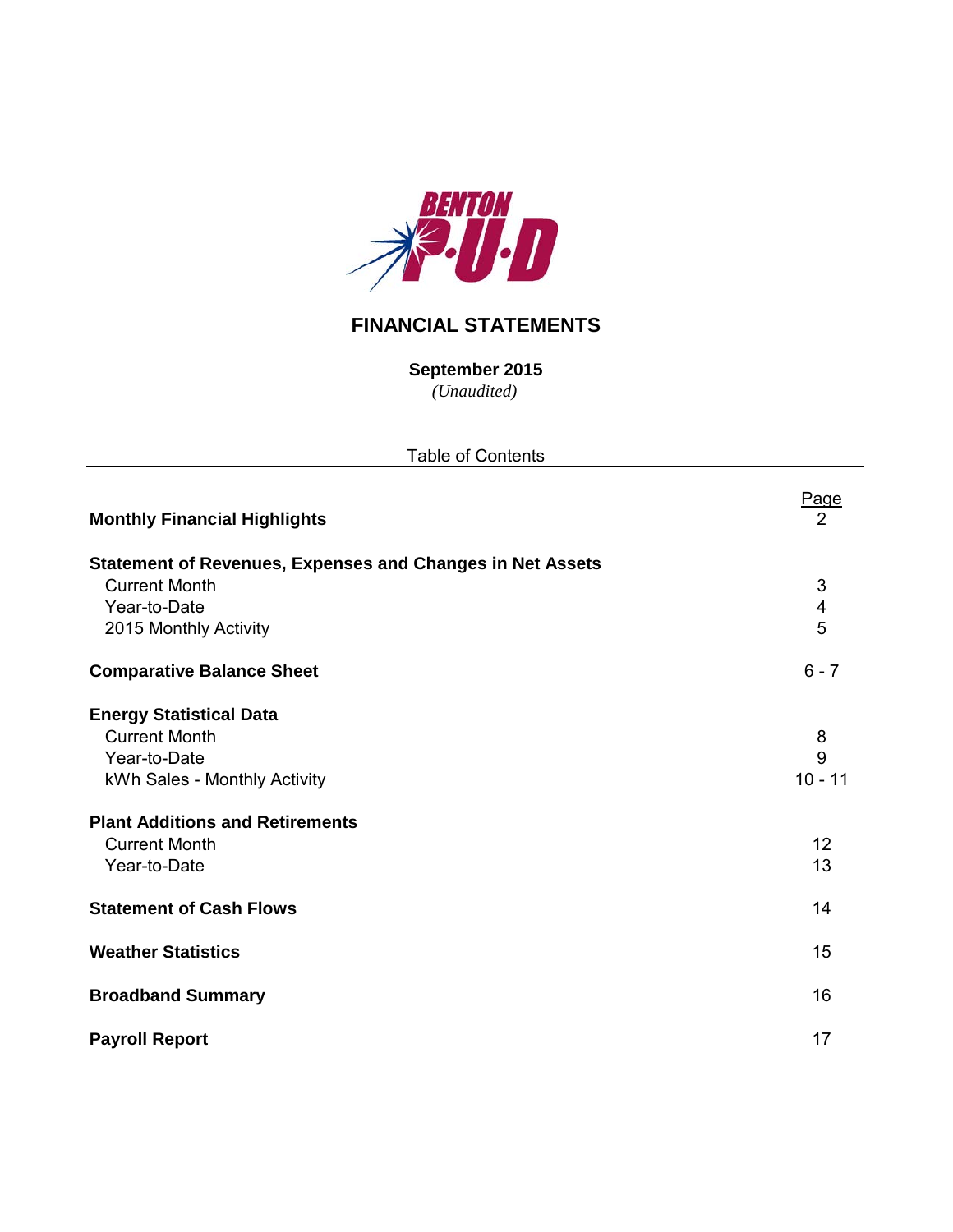

# **FINANCIAL STATEMENTS**

*(Unaudited)* **September 2015**

Table of Contents

| <b>Monthly Financial Highlights</b>                                                                                                              | Page<br>2                |
|--------------------------------------------------------------------------------------------------------------------------------------------------|--------------------------|
| <b>Statement of Revenues, Expenses and Changes in Net Assets</b><br><b>Current Month</b><br>Year-to-Date<br>2015 Monthly Activity                | $\mathfrak{S}$<br>4<br>5 |
| <b>Comparative Balance Sheet</b>                                                                                                                 | $6 - 7$                  |
| <b>Energy Statistical Data</b><br><b>Current Month</b><br>Year-to-Date<br>kWh Sales - Monthly Activity<br><b>Plant Additions and Retirements</b> | 8<br>9<br>$10 - 11$      |
| <b>Current Month</b><br>Year-to-Date                                                                                                             | 12<br>13                 |
| <b>Statement of Cash Flows</b>                                                                                                                   | 14                       |
| <b>Weather Statistics</b>                                                                                                                        | 15                       |
| <b>Broadband Summary</b>                                                                                                                         | 16                       |
| <b>Payroll Report</b>                                                                                                                            | 17                       |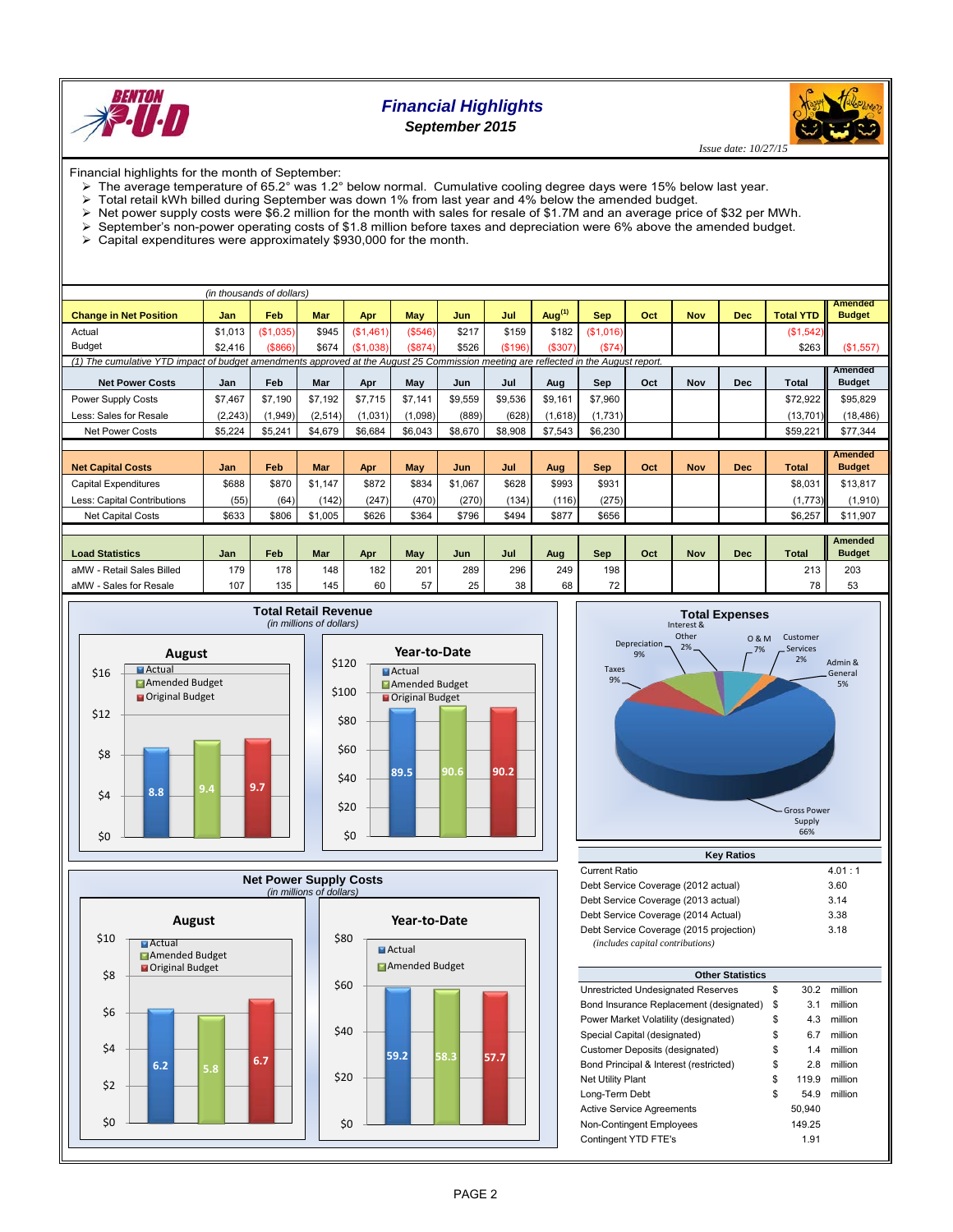

## *Financial Highlights September 2015*

*Issue date: 10/27/1:* 

Financial highlights for the month of September:

- The average temperature of 65.2° was 1.2° below normal. Cumulative cooling degree days were 15% below last year.
- 
- $\triangleright$  Total retail kWh billed during September was down 1% from last year and 4% below the amended budget.<br> $\triangleright$  Net power supply costs were \$6.2 million for the month with sales for resale of \$1.7M and an average price
- Net power supply costs were \$6.2 million for the month with sales for resale of \$1.7M and an average price of \$32 per MWh.<br>September's non-power operating costs of \$1.8 million before taxes and depreciation were 6% above September's non-power operating costs of \$1.8 million before taxes and depreciation were 6% above the amended budget.
- Capital expenditures were approximately \$930,000 for the month.

|                                                                                                                                     |          | (in thousands of dollars) |            |           |            |         |         |           |            |     |            |            |                  |                                 |
|-------------------------------------------------------------------------------------------------------------------------------------|----------|---------------------------|------------|-----------|------------|---------|---------|-----------|------------|-----|------------|------------|------------------|---------------------------------|
| <b>Change in Net Position</b>                                                                                                       | Jan      | Feb                       | <b>Mar</b> | Apr       | <b>May</b> | Jun     | Jul     | Aug $(1)$ | <b>Sep</b> | Oct | <b>Nov</b> | <b>Dec</b> | <b>Total YTD</b> | <b>Amended</b><br><b>Budget</b> |
| Actual                                                                                                                              | \$1,013  | (\$1,035)                 | \$945      | (\$1,461) | (\$546)    | \$217   | \$159   | \$182     | (\$1,016)  |     |            |            | (\$1,542)        |                                 |
| <b>Budget</b>                                                                                                                       | \$2.416  | ( \$866)                  | \$674      | (\$1.038) | (\$874)    | \$526   | (\$196) | (\$307)   | (\$74)     |     |            |            | \$263            | (\$1,557)                       |
| (1) The cumulative YTD impact of budget amendments approved at the August 25 Commission meeting are reflected in the August report. |          |                           |            |           |            |         |         |           |            |     |            |            |                  |                                 |
| <b>Net Power Costs</b>                                                                                                              | Jan      | Feb                       | Mar        | Apr       | May        | Jun     | Jul     | Aug       | Sep        | Oct | Nov        | <b>Dec</b> | Total            | Amended<br><b>Budget</b>        |
| Power Supply Costs                                                                                                                  | \$7,467  | \$7.190                   | \$7,192    | \$7,715   | \$7,141    | \$9,559 | \$9,536 | \$9,161   | \$7,960    |     |            |            | \$72.922         | \$95,829                        |
| Less: Sales for Resale                                                                                                              | (2, 243) | (1, 949)                  | (2, 514)   | (1,031)   | (1,098)    | (889)   | (628)   | (1,618)   | (1,731)    |     |            |            | (13, 701)        | (18, 486)                       |
| <b>Net Power Costs</b>                                                                                                              | \$5,224  | \$5,241                   | \$4,679    | \$6,684   | \$6,043    | \$8,670 | \$8,908 | \$7,543   | \$6,230    |     |            |            | \$59,221         | \$77,344                        |
|                                                                                                                                     |          |                           |            |           |            |         |         |           |            |     |            |            |                  |                                 |
| <b>Net Capital Costs</b>                                                                                                            | Jan      | Feb                       | <b>Mar</b> | Apr       | <b>May</b> | Jun     | Jul     | Aug       | <b>Sep</b> | Oct | <b>Nov</b> | <b>Dec</b> | <b>Total</b>     | <b>Amended</b><br><b>Budget</b> |
| Capital Expenditures                                                                                                                | \$688    | \$870                     | \$1.147    | \$872     | \$834      | \$1,067 | \$628   | \$993     | \$931      |     |            |            | \$8.031          | \$13,817                        |
| Less: Capital Contributions                                                                                                         | (55)     | (64)                      | (142)      | (247)     | (470)      | (270)   | (134)   | (116)     | (275)      |     |            |            | (1,773)          | (1,910)                         |
| <b>Net Capital Costs</b>                                                                                                            | \$633    | \$806                     | \$1,005    | \$626     | \$364      | \$796   | \$494   | \$877     | \$656      |     |            |            | \$6,257          | \$11,907                        |
|                                                                                                                                     |          |                           |            |           |            |         |         |           |            |     |            |            |                  |                                 |
| <b>Load Statistics</b>                                                                                                              | Jan      | Feb                       | Mar        | Apr       | May        | Jun     | Jul     | Aug       | Sep        | Oct | <b>Nov</b> | <b>Dec</b> | <b>Total</b>     | <b>Amended</b><br><b>Budget</b> |
| aMW - Retail Sales Billed                                                                                                           | 179      | 178                       | 148        | 182       | 201        | 289     | 296     | 249       | 198        |     |            |            | 213              | 203                             |
| aMW - Sales for Resale                                                                                                              | 107      | 135                       | 145        | 60        | 57         | 25      | 38      | 68        | 72         |     |            |            | 78               | 53                              |









| <b>Key Ratios</b>                       |        |  |  |  |  |  |  |  |
|-----------------------------------------|--------|--|--|--|--|--|--|--|
| Current Ratio                           | 4.01:1 |  |  |  |  |  |  |  |
| Debt Service Coverage (2012 actual)     | 3.60   |  |  |  |  |  |  |  |
| Debt Service Coverage (2013 actual)     | 3.14   |  |  |  |  |  |  |  |
| Debt Service Coverage (2014 Actual)     | 3.38   |  |  |  |  |  |  |  |
| Debt Service Coverage (2015 projection) | 3.18   |  |  |  |  |  |  |  |
| (includes capital contributions)        |        |  |  |  |  |  |  |  |

| <b>Other Statistics</b>                 |    |        |         |  |  |  |  |  |  |  |
|-----------------------------------------|----|--------|---------|--|--|--|--|--|--|--|
| Unrestricted Undesignated Reserves      | \$ | 30.2   | million |  |  |  |  |  |  |  |
| Bond Insurance Replacement (designated) | \$ | 3.1    | million |  |  |  |  |  |  |  |
| Power Market Volatility (designated)    | \$ | 4.3    | million |  |  |  |  |  |  |  |
| Special Capital (designated)            | \$ | 6.7    | million |  |  |  |  |  |  |  |
|                                         |    | 1.4    | million |  |  |  |  |  |  |  |
| Customer Deposits (designated)          | \$ |        |         |  |  |  |  |  |  |  |
| Bond Principal & Interest (restricted)  | \$ | 2.8    | million |  |  |  |  |  |  |  |
| <b>Net Utility Plant</b>                | \$ | 119.9  | million |  |  |  |  |  |  |  |
| Long-Term Debt                          | \$ | 54.9   | million |  |  |  |  |  |  |  |
| <b>Active Service Agreements</b>        |    | 50.940 |         |  |  |  |  |  |  |  |
| Non-Contingent Employees                |    | 149.25 |         |  |  |  |  |  |  |  |
| Contingent YTD FTE's                    |    | 1.91   |         |  |  |  |  |  |  |  |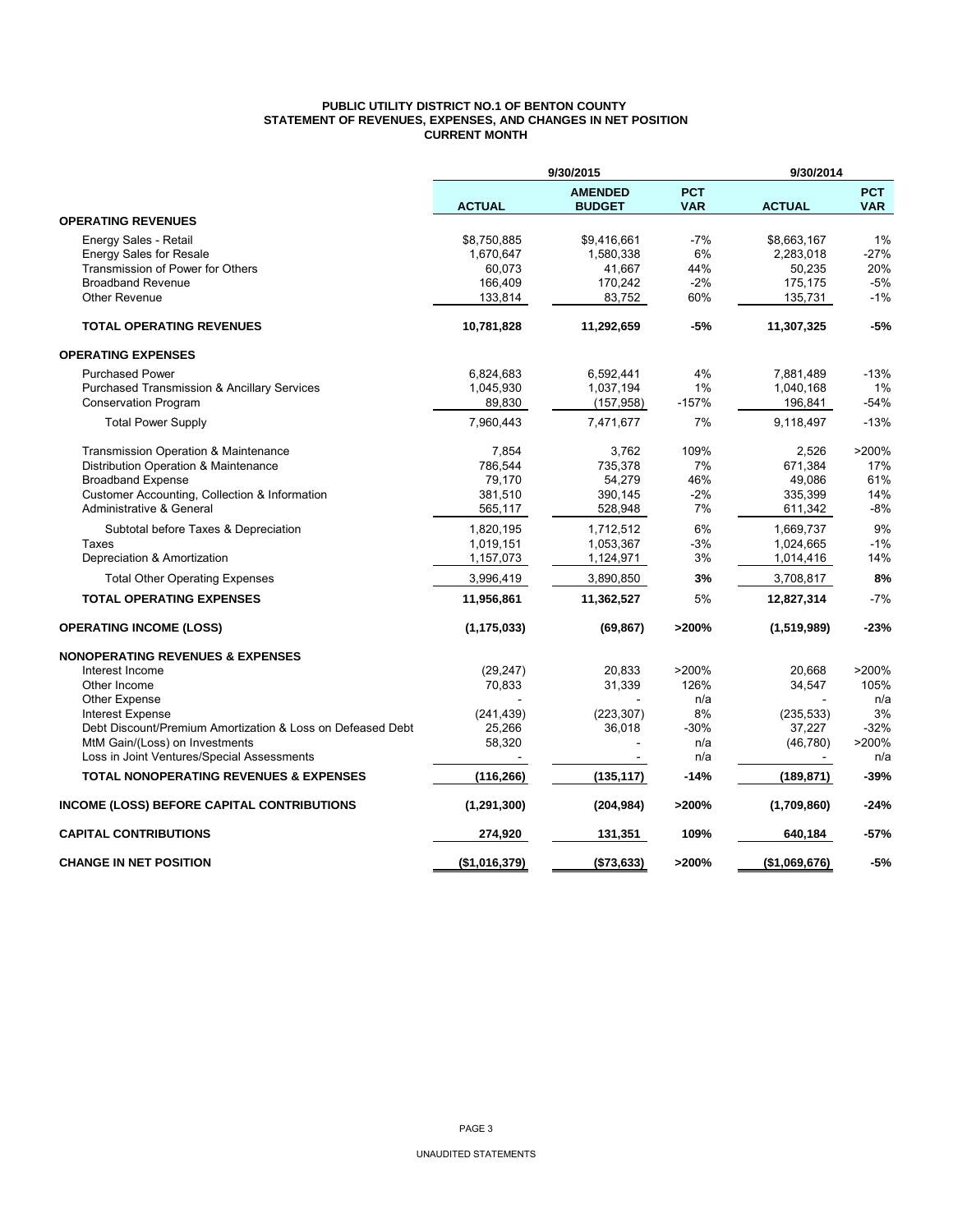### **PUBLIC UTILITY DISTRICT NO.1 OF BENTON COUNTY STATEMENT OF REVENUES, EXPENSES, AND CHANGES IN NET POSITION CURRENT MONTH**

|                                                            | 9/30/2015<br>9/30/2014 |                                 |                          |               |                          |
|------------------------------------------------------------|------------------------|---------------------------------|--------------------------|---------------|--------------------------|
|                                                            | <b>ACTUAL</b>          | <b>AMENDED</b><br><b>BUDGET</b> | <b>PCT</b><br><b>VAR</b> | <b>ACTUAL</b> | <b>PCT</b><br><b>VAR</b> |
| <b>OPERATING REVENUES</b>                                  |                        |                                 |                          |               |                          |
| Energy Sales - Retail                                      | \$8,750,885            | \$9,416,661                     | $-7%$                    | \$8,663,167   | 1%                       |
| <b>Energy Sales for Resale</b>                             | 1,670,647              | 1,580,338                       | 6%                       | 2,283,018     | $-27%$                   |
| Transmission of Power for Others                           | 60,073                 | 41,667                          | 44%                      | 50,235        | 20%                      |
| <b>Broadband Revenue</b>                                   | 166,409                | 170,242                         | $-2%$                    | 175,175       | $-5%$                    |
| Other Revenue                                              | 133,814                | 83,752                          | 60%                      | 135,731       | $-1%$                    |
| <b>TOTAL OPERATING REVENUES</b>                            | 10,781,828             | 11,292,659                      | $-5%$                    | 11,307,325    | $-5%$                    |
| <b>OPERATING EXPENSES</b>                                  |                        |                                 |                          |               |                          |
| <b>Purchased Power</b>                                     | 6,824,683              | 6,592,441                       | 4%                       | 7,881,489     | $-13%$                   |
| <b>Purchased Transmission &amp; Ancillary Services</b>     | 1,045,930              | 1,037,194                       | 1%                       | 1,040,168     | 1%                       |
| <b>Conservation Program</b>                                | 89,830                 | (157, 958)                      | $-157%$                  | 196,841       | $-54%$                   |
| <b>Total Power Supply</b>                                  | 7,960,443              | 7,471,677                       | 7%                       | 9,118,497     | $-13%$                   |
| Transmission Operation & Maintenance                       | 7,854                  | 3.762                           | 109%                     | 2,526         | >200%                    |
| Distribution Operation & Maintenance                       | 786,544                | 735,378                         | 7%                       | 671,384       | 17%                      |
| <b>Broadband Expense</b>                                   | 79,170                 | 54,279                          | 46%                      | 49,086        | 61%                      |
| Customer Accounting, Collection & Information              | 381,510                | 390,145                         | $-2%$                    | 335,399       | 14%                      |
| Administrative & General                                   | 565,117                | 528,948                         | 7%                       | 611,342       | $-8%$                    |
| Subtotal before Taxes & Depreciation                       | 1,820,195              | 1,712,512                       | 6%                       | 1,669,737     | 9%                       |
| Taxes                                                      | 1,019,151              | 1,053,367                       | $-3%$                    | 1,024,665     | $-1%$                    |
| Depreciation & Amortization                                | 1,157,073              | 1,124,971                       | 3%                       | 1,014,416     | 14%                      |
| <b>Total Other Operating Expenses</b>                      | 3,996,419              | 3,890,850                       | 3%                       | 3,708,817     | 8%                       |
| <b>TOTAL OPERATING EXPENSES</b>                            | 11,956,861             | 11,362,527                      | 5%                       | 12,827,314    | $-7%$                    |
| <b>OPERATING INCOME (LOSS)</b>                             | (1, 175, 033)          | (69, 867)                       | >200%                    | (1,519,989)   | -23%                     |
| <b>NONOPERATING REVENUES &amp; EXPENSES</b>                |                        |                                 |                          |               |                          |
| Interest Income                                            | (29, 247)              | 20,833                          | >200%                    | 20.668        | >200%                    |
| Other Income                                               | 70,833                 | 31,339                          | 126%                     | 34,547        | 105%                     |
| Other Expense                                              |                        |                                 | n/a                      |               | n/a                      |
| <b>Interest Expense</b>                                    | (241, 439)             | (223, 307)                      | 8%                       | (235, 533)    | 3%                       |
| Debt Discount/Premium Amortization & Loss on Defeased Debt | 25,266                 | 36,018                          | $-30%$                   | 37,227        | $-32%$                   |
| MtM Gain/(Loss) on Investments                             | 58,320                 |                                 | n/a                      | (46, 780)     | >200%                    |
| Loss in Joint Ventures/Special Assessments                 |                        |                                 | n/a                      |               | n/a                      |
| <b>TOTAL NONOPERATING REVENUES &amp; EXPENSES</b>          | (116, 266)             | (135, 117)                      | $-14%$                   | (189,871)     | $-39%$                   |
| INCOME (LOSS) BEFORE CAPITAL CONTRIBUTIONS                 | (1, 291, 300)          | (204, 984)                      | >200%                    | (1,709,860)   | $-24%$                   |
| <b>CAPITAL CONTRIBUTIONS</b>                               | 274,920                | 131,351                         | 109%                     | 640,184       | -57%                     |
| <b>CHANGE IN NET POSITION</b>                              | (\$1,016,379)          | ( \$73, 633)                    | >200%                    | (\$1,069,676) | $-5%$                    |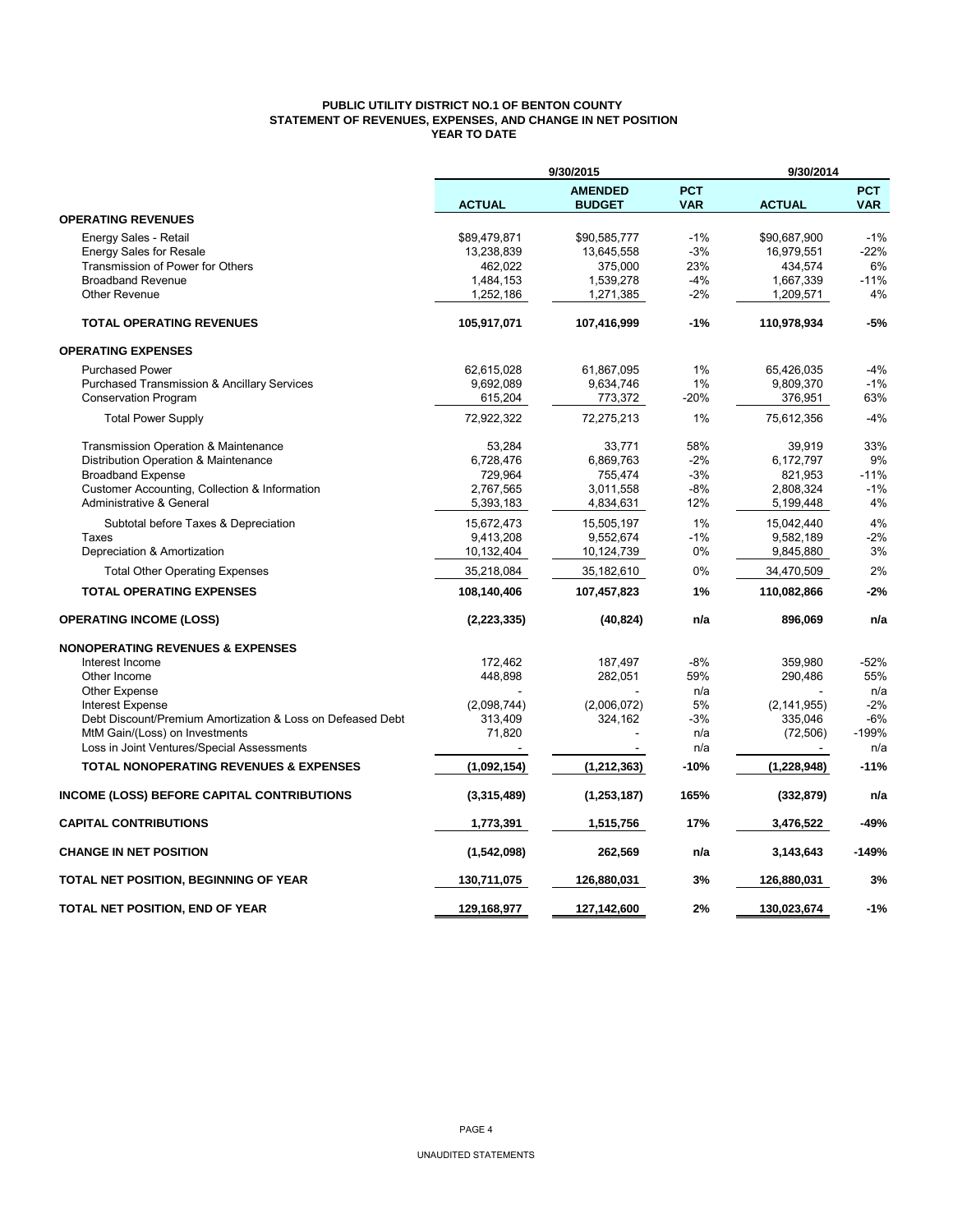## **PUBLIC UTILITY DISTRICT NO.1 OF BENTON COUNTY STATEMENT OF REVENUES, EXPENSES, AND CHANGE IN NET POSITION YEAR TO DATE**

|                                                            |               | 9/30/2015                       |                          | 9/30/2014     |                          |  |  |
|------------------------------------------------------------|---------------|---------------------------------|--------------------------|---------------|--------------------------|--|--|
|                                                            | <b>ACTUAL</b> | <b>AMENDED</b><br><b>BUDGET</b> | <b>PCT</b><br><b>VAR</b> | <b>ACTUAL</b> | <b>PCT</b><br><b>VAR</b> |  |  |
| <b>OPERATING REVENUES</b>                                  |               |                                 |                          |               |                          |  |  |
| Energy Sales - Retail                                      | \$89,479,871  | \$90,585,777                    | $-1%$                    | \$90,687,900  | $-1%$                    |  |  |
| <b>Energy Sales for Resale</b>                             | 13,238,839    | 13,645,558                      | $-3%$                    | 16,979,551    | $-22%$                   |  |  |
| Transmission of Power for Others                           | 462,022       | 375,000                         | 23%                      | 434,574       | 6%                       |  |  |
| <b>Broadband Revenue</b>                                   | 1,484,153     | 1,539,278                       | $-4%$                    | 1,667,339     | $-11%$                   |  |  |
| <b>Other Revenue</b>                                       | 1,252,186     | 1,271,385                       | $-2%$                    | 1,209,571     | 4%                       |  |  |
| <b>TOTAL OPERATING REVENUES</b>                            | 105,917,071   | 107,416,999                     | $-1%$                    | 110,978,934   | $-5%$                    |  |  |
| <b>OPERATING EXPENSES</b>                                  |               |                                 |                          |               |                          |  |  |
| <b>Purchased Power</b>                                     | 62,615,028    | 61,867,095                      | 1%                       | 65,426,035    | $-4%$                    |  |  |
| <b>Purchased Transmission &amp; Ancillary Services</b>     | 9,692,089     | 9,634,746                       | 1%                       | 9,809,370     | $-1%$                    |  |  |
| Conservation Program                                       | 615,204       | 773,372                         | $-20%$                   | 376,951       | 63%                      |  |  |
| <b>Total Power Supply</b>                                  | 72,922,322    | 72,275,213                      | 1%                       | 75,612,356    | $-4%$                    |  |  |
| <b>Transmission Operation &amp; Maintenance</b>            | 53.284        | 33.771                          | 58%                      | 39,919        | 33%                      |  |  |
| Distribution Operation & Maintenance                       | 6,728,476     | 6,869,763                       | $-2%$                    | 6,172,797     | 9%                       |  |  |
| <b>Broadband Expense</b>                                   | 729,964       | 755,474                         | $-3%$                    | 821,953       | -11%                     |  |  |
| Customer Accounting, Collection & Information              | 2.767.565     | 3,011,558                       | $-8%$                    | 2,808,324     | $-1%$                    |  |  |
| Administrative & General                                   | 5,393,183     | 4,834,631                       | 12%                      | 5,199,448     | 4%                       |  |  |
| Subtotal before Taxes & Depreciation                       | 15,672,473    | 15,505,197                      | 1%                       | 15,042,440    | 4%                       |  |  |
| Taxes                                                      | 9,413,208     | 9,552,674                       | $-1%$                    | 9,582,189     | $-2%$                    |  |  |
| Depreciation & Amortization                                | 10,132,404    | 10,124,739                      | 0%                       | 9,845,880     | 3%                       |  |  |
| <b>Total Other Operating Expenses</b>                      | 35,218,084    | 35,182,610                      | 0%                       | 34,470,509    | 2%                       |  |  |
| <b>TOTAL OPERATING EXPENSES</b>                            | 108,140,406   | 107,457,823                     | 1%                       | 110,082,866   | $-2%$                    |  |  |
| <b>OPERATING INCOME (LOSS)</b>                             | (2, 223, 335) | (40, 824)                       | n/a                      | 896,069       | n/a                      |  |  |
| <b>NONOPERATING REVENUES &amp; EXPENSES</b>                |               |                                 |                          |               |                          |  |  |
| Interest Income                                            | 172,462       | 187,497                         | $-8%$                    | 359,980       | $-52%$                   |  |  |
| Other Income                                               | 448,898       | 282,051                         | 59%                      | 290.486       | 55%                      |  |  |
| <b>Other Expense</b>                                       |               |                                 | n/a                      |               | n/a                      |  |  |
| <b>Interest Expense</b>                                    | (2,098,744)   | (2,006,072)                     | 5%                       | (2, 141, 955) | $-2%$                    |  |  |
| Debt Discount/Premium Amortization & Loss on Defeased Debt | 313,409       | 324,162                         | $-3%$                    | 335.046       | $-6%$                    |  |  |
| MtM Gain/(Loss) on Investments                             | 71,820        |                                 | n/a                      | (72, 506)     | $-199%$                  |  |  |
| Loss in Joint Ventures/Special Assessments                 |               |                                 | n/a                      |               | n/a                      |  |  |
| <b>TOTAL NONOPERATING REVENUES &amp; EXPENSES</b>          | (1,092,154)   | (1, 212, 363)                   | $-10%$                   | (1, 228, 948) | $-11%$                   |  |  |
| <b>INCOME (LOSS) BEFORE CAPITAL CONTRIBUTIONS</b>          | (3,315,489)   | (1, 253, 187)                   | 165%                     | (332, 879)    | n/a                      |  |  |
| <b>CAPITAL CONTRIBUTIONS</b>                               | 1,773,391     | 1,515,756                       | 17%                      | 3,476,522     | -49%                     |  |  |
| <b>CHANGE IN NET POSITION</b>                              | (1,542,098)   | 262,569                         | n/a                      | 3,143,643     | $-149%$                  |  |  |
| TOTAL NET POSITION, BEGINNING OF YEAR                      | 130,711,075   | 126,880,031                     | 3%                       | 126,880,031   | 3%                       |  |  |
| TOTAL NET POSITION, END OF YEAR                            | 129.168.977   | 127,142,600                     | 2%                       | 130.023.674   | $-1%$                    |  |  |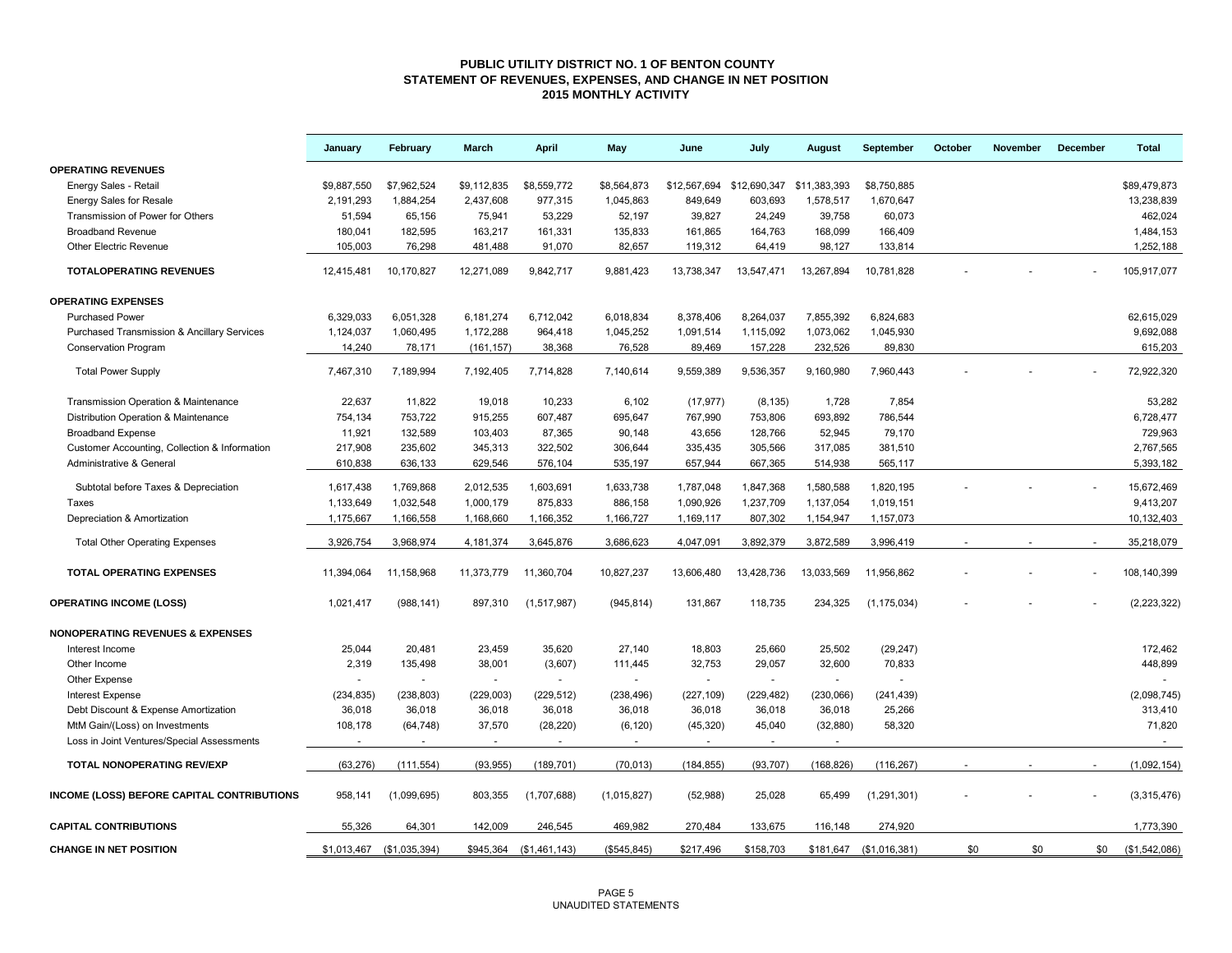### **PUBLIC UTILITY DISTRICT NO. 1 OF BENTON COUNTY STATEMENT OF REVENUES, EXPENSES, AND CHANGE IN NET POSITION 2015 MONTHLY ACTIVITY**

|                                                        | January     | February                  | March       | April         | May          | June                      | July       | August       | September               | October | November | December | <b>Total</b>  |
|--------------------------------------------------------|-------------|---------------------------|-------------|---------------|--------------|---------------------------|------------|--------------|-------------------------|---------|----------|----------|---------------|
| <b>OPERATING REVENUES</b>                              |             |                           |             |               |              |                           |            |              |                         |         |          |          |               |
| Energy Sales - Retail                                  | \$9,887,550 | \$7,962,524               | \$9,112,835 | \$8,559,772   | \$8,564,873  | \$12,567,694 \$12,690,347 |            | \$11,383,393 | \$8,750,885             |         |          |          | \$89,479,873  |
| <b>Energy Sales for Resale</b>                         | 2,191,293   | 1,884,254                 | 2,437,608   | 977,315       | 1,045,863    | 849,649                   | 603,693    | 1,578,517    | 1,670,647               |         |          |          | 13,238,839    |
| Transmission of Power for Others                       | 51,594      | 65,156                    | 75,941      | 53,229        | 52,197       | 39,827                    | 24,249     | 39,758       | 60,073                  |         |          |          | 462,024       |
| <b>Broadband Revenue</b>                               | 180,041     | 182,595                   | 163,217     | 161,331       | 135,833      | 161,865                   | 164,763    | 168,099      | 166,409                 |         |          |          | 1,484,153     |
| Other Electric Revenue                                 | 105,003     | 76,298                    | 481,488     | 91,070        | 82,657       | 119,312                   | 64,419     | 98,127       | 133,814                 |         |          |          | 1,252,188     |
| <b>TOTALOPERATING REVENUES</b>                         | 12,415,481  | 10,170,827                | 12,271,089  | 9,842,717     | 9,881,423    | 13,738,347                | 13,547,471 | 13,267,894   | 10.781.828              |         |          |          | 105.917.077   |
| <b>OPERATING EXPENSES</b>                              |             |                           |             |               |              |                           |            |              |                         |         |          |          |               |
| <b>Purchased Power</b>                                 | 6,329,033   | 6,051,328                 | 6,181,274   | 6,712,042     | 6,018,834    | 8,378,406                 | 8,264,037  | 7,855,392    | 6,824,683               |         |          |          | 62,615,029    |
| <b>Purchased Transmission &amp; Ancillary Services</b> | 1,124,037   | 1,060,495                 | 1,172,288   | 964,418       | 1,045,252    | 1,091,514                 | 1,115,092  | 1,073,062    | 1,045,930               |         |          |          | 9,692,088     |
| <b>Conservation Program</b>                            | 14,240      | 78,171                    | (161, 157)  | 38,368        | 76,528       | 89,469                    | 157,228    | 232,526      | 89,830                  |         |          |          | 615,203       |
| <b>Total Power Supply</b>                              | 7,467,310   | 7,189,994                 | 7,192,405   | 7,714,828     | 7,140,614    | 9,559,389                 | 9,536,357  | 9,160,980    | 7,960,443               |         |          |          | 72,922,320    |
| Transmission Operation & Maintenance                   | 22,637      | 11,822                    | 19,018      | 10,233        | 6,102        | (17, 977)                 | (8, 135)   | 1,728        | 7,854                   |         |          |          | 53,282        |
| Distribution Operation & Maintenance                   | 754,134     | 753,722                   | 915,255     | 607,487       | 695,647      | 767,990                   | 753,806    | 693,892      | 786,544                 |         |          |          | 6,728,477     |
| <b>Broadband Expense</b>                               | 11,921      | 132,589                   | 103,403     | 87,365        | 90,148       | 43,656                    | 128,766    | 52,945       | 79,170                  |         |          |          | 729,963       |
| Customer Accounting, Collection & Information          | 217,908     | 235,602                   | 345,313     | 322,502       | 306,644      | 335,435                   | 305,566    | 317,085      | 381,510                 |         |          |          | 2,767,565     |
| Administrative & General                               | 610,838     | 636,133                   | 629,546     | 576,104       | 535,197      | 657,944                   | 667,365    | 514,938      | 565,117                 |         |          |          | 5,393,182     |
| Subtotal before Taxes & Depreciation                   | 1,617,438   | 1,769,868                 | 2,012,535   | 1,603,691     | 1,633,738    | 1,787,048                 | 1,847,368  | 1,580,588    | 1,820,195               |         |          |          | 15,672,469    |
| Taxes                                                  | 1,133,649   | 1,032,548                 | 1,000,179   | 875,833       | 886,158      | 1,090,926                 | 1,237,709  | 1,137,054    | 1,019,151               |         |          |          | 9,413,207     |
| Depreciation & Amortization                            | 1,175,667   | 1,166,558                 | 1,168,660   | 1,166,352     | 1,166,727    | 1,169,117                 | 807,302    | 1,154,947    | 1,157,073               |         |          |          | 10,132,403    |
| <b>Total Other Operating Expenses</b>                  | 3,926,754   | 3,968,974                 | 4,181,374   | 3,645,876     | 3,686,623    | 4,047,091                 | 3,892,379  | 3,872,589    | 3,996,419               |         |          |          | 35,218,079    |
| <b>TOTAL OPERATING EXPENSES</b>                        | 11,394,064  | 11,158,968                | 11,373,779  | 11,360,704    | 10,827,237   | 13,606,480                | 13,428,736 | 13,033,569   | 11,956,862              |         |          |          | 108,140,399   |
| <b>OPERATING INCOME (LOSS)</b>                         | 1,021,417   | (988, 141)                | 897,310     | (1,517,987)   | (945, 814)   | 131,867                   | 118,735    | 234,325      | (1, 175, 034)           |         |          |          | (2, 223, 322) |
| <b>NONOPERATING REVENUES &amp; EXPENSES</b>            |             |                           |             |               |              |                           |            |              |                         |         |          |          |               |
| Interest Income                                        | 25,044      | 20,481                    | 23,459      | 35,620        | 27,140       | 18,803                    | 25,660     | 25,502       | (29, 247)               |         |          |          | 172,462       |
| Other Income                                           | 2,319       | 135,498                   | 38,001      | (3,607)       | 111,445      | 32,753                    | 29,057     | 32,600       | 70,833                  |         |          |          | 448,899       |
| Other Expense                                          |             |                           | $\sim$      | $\sim$        |              | $\sim$                    | $\sim$     | $\sim$       |                         |         |          |          |               |
| <b>Interest Expense</b>                                | (234, 835)  | (238, 803)                | (229,003)   | (229, 512)    | (238, 496)   | (227, 109)                | (229, 482) | (230,066)    | (241, 439)              |         |          |          | (2,098,745)   |
| Debt Discount & Expense Amortization                   | 36,018      | 36,018                    | 36,018      | 36,018        | 36,018       | 36,018                    | 36,018     | 36,018       | 25,266                  |         |          |          | 313,410       |
| MtM Gain/(Loss) on Investments                         | 108,178     | (64, 748)                 | 37,570      | (28, 220)     | (6, 120)     | (45, 320)                 | 45,040     | (32, 880)    | 58,320                  |         |          |          | 71,820        |
| Loss in Joint Ventures/Special Assessments             | $\sim$      | $\sim$                    | $\sim$      | $\sim$        | $\sim$       | $\sim$                    | $\sim$     | $\sim$       |                         |         |          |          | $\sim$        |
| <b>TOTAL NONOPERATING REV/EXP</b>                      | (63, 276)   | (111, 554)                | (93, 955)   | (189, 701)    | (70, 013)    | (184, 855)                | (93, 707)  | (168, 826)   | (116, 267)              |         |          |          | (1,092,154)   |
| INCOME (LOSS) BEFORE CAPITAL CONTRIBUTIONS             | 958,141     | (1,099,695)               | 803,355     | (1,707,688)   | (1,015,827)  | (52,988)                  | 25,028     | 65,499       | (1,291,301)             |         |          |          | (3,315,476)   |
| <b>CAPITAL CONTRIBUTIONS</b>                           | 55,326      | 64,301                    | 142,009     | 246,545       | 469,982      | 270,484                   | 133,675    | 116,148      | 274,920                 |         |          |          | 1,773,390     |
| <b>CHANGE IN NET POSITION</b>                          |             | \$1,013,467 (\$1,035,394) | \$945,364   | (\$1,461,143) | (\$545, 845) | \$217,496                 | \$158,703  |              | \$181,647 (\$1,016,381) | \$0     | \$0      | \$0      | (\$1,542,086) |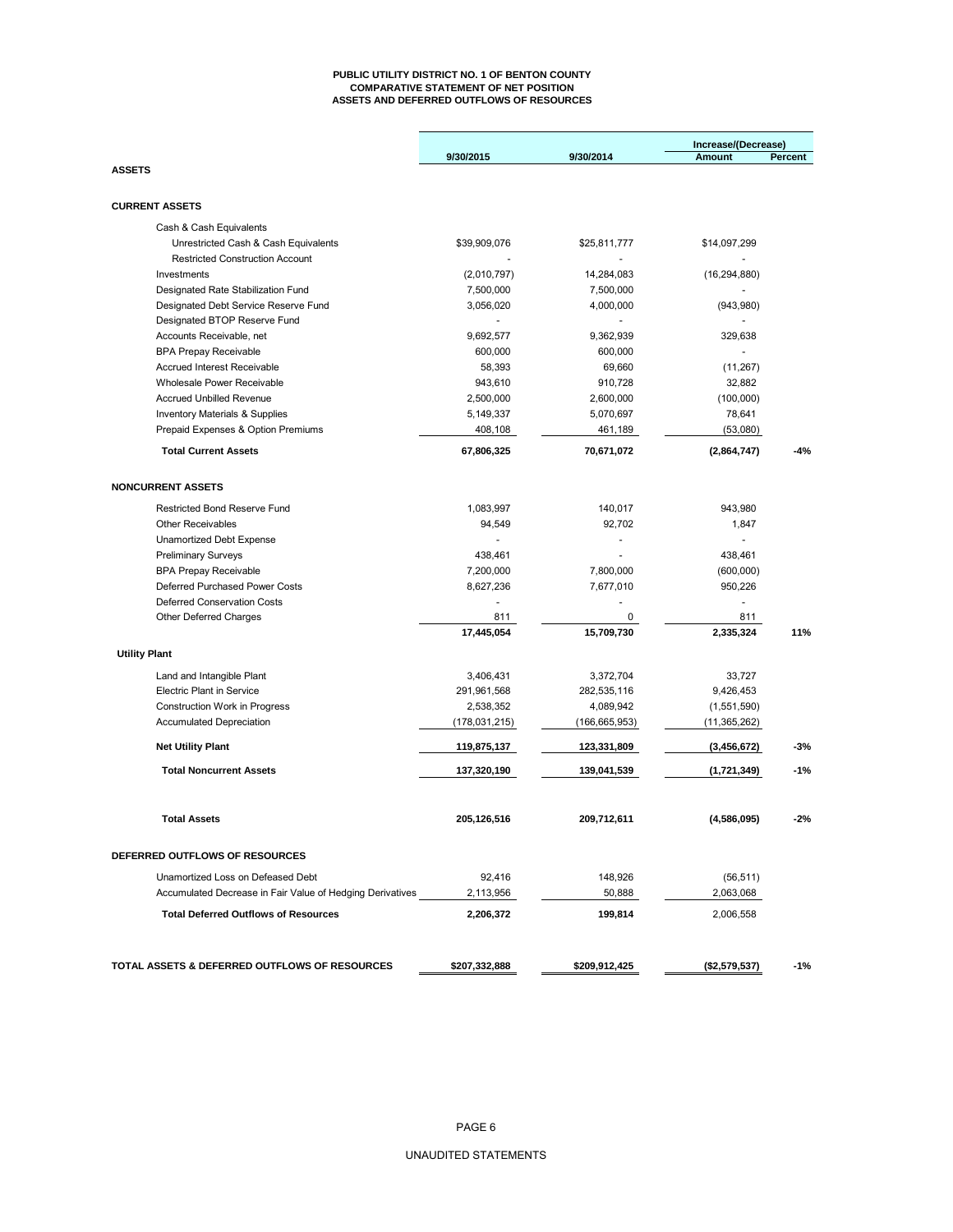#### **PUBLIC UTILITY DISTRICT NO. 1 OF BENTON COUNTY COMPARATIVE STATEMENT OF NET POSITION ASSETS AND DEFERRED OUTFLOWS OF RESOURCES**

|                                                           |               |                 | Increase/(Decrease) |         |  |
|-----------------------------------------------------------|---------------|-----------------|---------------------|---------|--|
|                                                           | 9/30/2015     | 9/30/2014       | <b>Amount</b>       | Percent |  |
| <b>ASSETS</b>                                             |               |                 |                     |         |  |
| <b>CURRENT ASSETS</b>                                     |               |                 |                     |         |  |
| Cash & Cash Equivalents                                   |               |                 |                     |         |  |
| Unrestricted Cash & Cash Equivalents                      | \$39,909,076  | \$25,811,777    | \$14,097,299        |         |  |
| <b>Restricted Construction Account</b>                    |               |                 |                     |         |  |
| Investments                                               | (2,010,797)   | 14,284,083      | (16, 294, 880)      |         |  |
| Designated Rate Stabilization Fund                        | 7,500,000     | 7,500,000       |                     |         |  |
| Designated Debt Service Reserve Fund                      | 3,056,020     | 4,000,000       | (943,980)           |         |  |
| Designated BTOP Reserve Fund                              |               |                 |                     |         |  |
| Accounts Receivable, net                                  | 9,692,577     | 9,362,939       | 329,638             |         |  |
| <b>BPA Prepay Receivable</b>                              | 600,000       | 600,000         |                     |         |  |
| <b>Accrued Interest Receivable</b>                        | 58,393        | 69,660          | (11, 267)           |         |  |
| Wholesale Power Receivable                                | 943,610       | 910,728         | 32,882              |         |  |
| <b>Accrued Unbilled Revenue</b>                           | 2,500,000     | 2,600,000       | (100,000)           |         |  |
| <b>Inventory Materials &amp; Supplies</b>                 | 5,149,337     | 5,070,697       | 78,641              |         |  |
| Prepaid Expenses & Option Premiums                        | 408,108       | 461,189         | (53,080)            |         |  |
| <b>Total Current Assets</b>                               | 67,806,325    | 70,671,072      | (2,864,747)         | $-4%$   |  |
| <b>NONCURRENT ASSETS</b>                                  |               |                 |                     |         |  |
|                                                           |               |                 |                     |         |  |
| <b>Restricted Bond Reserve Fund</b>                       | 1,083,997     | 140,017         | 943.980             |         |  |
| <b>Other Receivables</b>                                  | 94,549        | 92,702          | 1,847               |         |  |
| <b>Unamortized Debt Expense</b>                           |               |                 |                     |         |  |
| <b>Preliminary Surveys</b>                                | 438.461       |                 | 438,461             |         |  |
| <b>BPA Prepay Receivable</b>                              | 7,200,000     | 7,800,000       | (600,000)           |         |  |
| Deferred Purchased Power Costs                            | 8,627,236     | 7,677,010       | 950,226             |         |  |
| <b>Deferred Conservation Costs</b>                        |               |                 |                     |         |  |
| <b>Other Deferred Charges</b>                             | 811           | 0               | 811                 |         |  |
|                                                           | 17,445,054    | 15,709,730      | 2,335,324           | 11%     |  |
| <b>Utility Plant</b>                                      |               |                 |                     |         |  |
| Land and Intangible Plant                                 | 3,406,431     | 3,372,704       | 33,727              |         |  |
| <b>Electric Plant in Service</b>                          | 291,961,568   | 282,535,116     | 9,426,453           |         |  |
| <b>Construction Work in Progress</b>                      | 2,538,352     | 4,089,942       | (1,551,590)         |         |  |
| <b>Accumulated Depreciation</b>                           | (178,031,215) | (166, 665, 953) | (11, 365, 262)      |         |  |
| <b>Net Utility Plant</b>                                  | 119,875,137   | 123,331,809     | (3,456,672)         | -3%     |  |
| <b>Total Noncurrent Assets</b>                            | 137,320,190   | 139,041,539     | (1,721,349)         | $-1%$   |  |
| <b>Total Assets</b>                                       | 205,126,516   | 209,712,611     | (4,586,095)         | $-2%$   |  |
|                                                           |               |                 |                     |         |  |
| <b>DEFERRED OUTFLOWS OF RESOURCES</b>                     |               |                 |                     |         |  |
| Unamortized Loss on Defeased Debt                         | 92,416        | 148,926         | (56, 511)           |         |  |
| Accumulated Decrease in Fair Value of Hedging Derivatives | 2,113,956     | 50,888          | 2,063,068           |         |  |
| <b>Total Deferred Outflows of Resources</b>               | 2,206,372     | 199,814         | 2,006,558           |         |  |
|                                                           |               |                 |                     |         |  |
| TOTAL ASSETS & DEFERRED OUTFLOWS OF RESOURCES             | \$207,332,888 | \$209,912,425   | (\$2,579,537)       | $-1%$   |  |
|                                                           |               |                 |                     |         |  |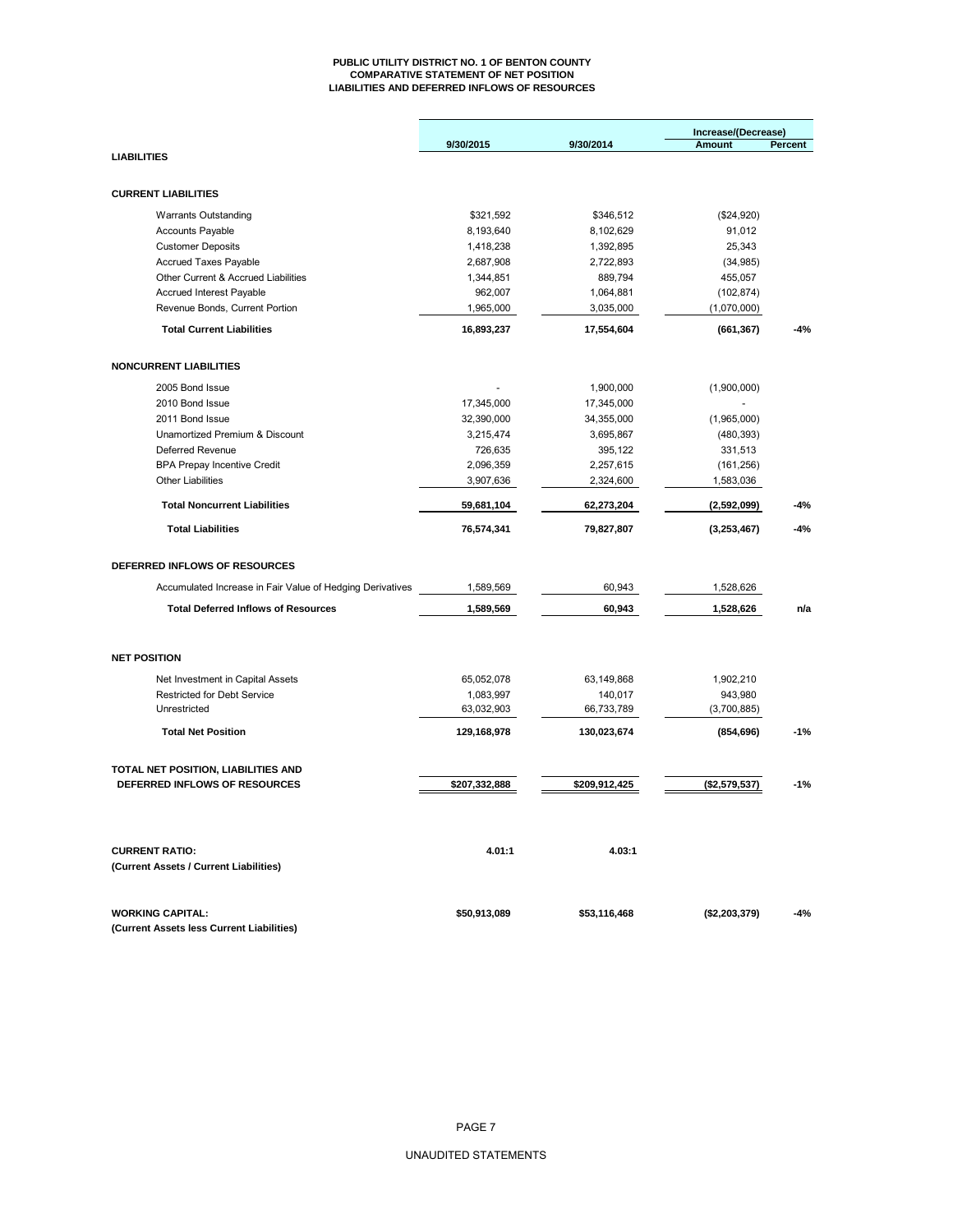#### **PUBLIC UTILITY DISTRICT NO. 1 OF BENTON COUNTY COMPARATIVE STATEMENT OF NET POSITION LIABILITIES AND DEFERRED INFLOWS OF RESOURCES**

|                                                           |               |               | Increase/(Decrease) |         |
|-----------------------------------------------------------|---------------|---------------|---------------------|---------|
|                                                           | 9/30/2015     | 9/30/2014     | <b>Amount</b>       | Percent |
| <b>LIABILITIES</b>                                        |               |               |                     |         |
|                                                           |               |               |                     |         |
| <b>CURRENT LIABILITIES</b>                                |               |               |                     |         |
| <b>Warrants Outstanding</b>                               | \$321,592     | \$346,512     | (\$24,920)          |         |
| <b>Accounts Payable</b>                                   | 8,193,640     | 8,102,629     | 91,012              |         |
| <b>Customer Deposits</b>                                  | 1,418,238     | 1,392,895     | 25,343              |         |
| Accrued Taxes Payable                                     | 2,687,908     | 2,722,893     | (34, 985)           |         |
| Other Current & Accrued Liabilities                       | 1,344,851     | 889,794       | 455,057             |         |
| <b>Accrued Interest Payable</b>                           | 962,007       | 1,064,881     | (102, 874)          |         |
| Revenue Bonds, Current Portion                            | 1,965,000     | 3,035,000     | (1,070,000)         |         |
| <b>Total Current Liabilities</b>                          | 16,893,237    | 17,554,604    | (661, 367)          | $-4%$   |
| <b>NONCURRENT LIABILITIES</b>                             |               |               |                     |         |
|                                                           |               |               |                     |         |
| 2005 Bond Issue                                           |               | 1,900,000     | (1,900,000)         |         |
| 2010 Bond Issue                                           | 17,345,000    | 17,345,000    |                     |         |
| 2011 Bond Issue                                           | 32,390,000    | 34,355,000    | (1,965,000)         |         |
| Unamortized Premium & Discount                            | 3,215,474     | 3,695,867     | (480, 393)          |         |
| <b>Deferred Revenue</b>                                   | 726,635       | 395,122       | 331,513             |         |
| <b>BPA Prepay Incentive Credit</b>                        | 2,096,359     | 2,257,615     | (161, 256)          |         |
| <b>Other Liabilities</b>                                  | 3,907,636     | 2,324,600     | 1,583,036           |         |
| <b>Total Noncurrent Liabilities</b>                       | 59,681,104    | 62,273,204    | (2,592,099)         | $-4%$   |
| <b>Total Liabilities</b>                                  | 76,574,341    | 79,827,807    | (3,253,467)         | -4%     |
| DEFERRED INFLOWS OF RESOURCES                             |               |               |                     |         |
| Accumulated Increase in Fair Value of Hedging Derivatives | 1,589,569     | 60,943        | 1,528,626           |         |
|                                                           |               |               |                     |         |
| <b>Total Deferred Inflows of Resources</b>                | 1,589,569     | 60,943        | 1,528,626           | n/a     |
| <b>NET POSITION</b>                                       |               |               |                     |         |
| Net Investment in Capital Assets                          | 65,052,078    | 63,149,868    | 1,902,210           |         |
| <b>Restricted for Debt Service</b>                        | 1,083,997     | 140,017       | 943,980             |         |
| Unrestricted                                              | 63,032,903    | 66,733,789    | (3,700,885)         |         |
| <b>Total Net Position</b>                                 | 129,168,978   | 130,023,674   | (854, 696)          | $-1%$   |
|                                                           |               |               |                     |         |
| TOTAL NET POSITION, LIABILITIES AND                       |               |               |                     |         |
| DEFERRED INFLOWS OF RESOURCES                             | \$207,332,888 | \$209,912,425 | (\$2,579,537)       | $-1%$   |
|                                                           |               |               |                     |         |
| <b>CURRENT RATIO:</b>                                     | 4.01:1        | 4.03:1        |                     |         |
| (Current Assets / Current Liabilities)                    |               |               |                     |         |
| <b>WORKING CAPITAL:</b>                                   | \$50,913,089  | \$53,116,468  | $($ \$2,203,379 $)$ | $-4%$   |
| (Current Assets less Current Liabilities)                 |               |               |                     |         |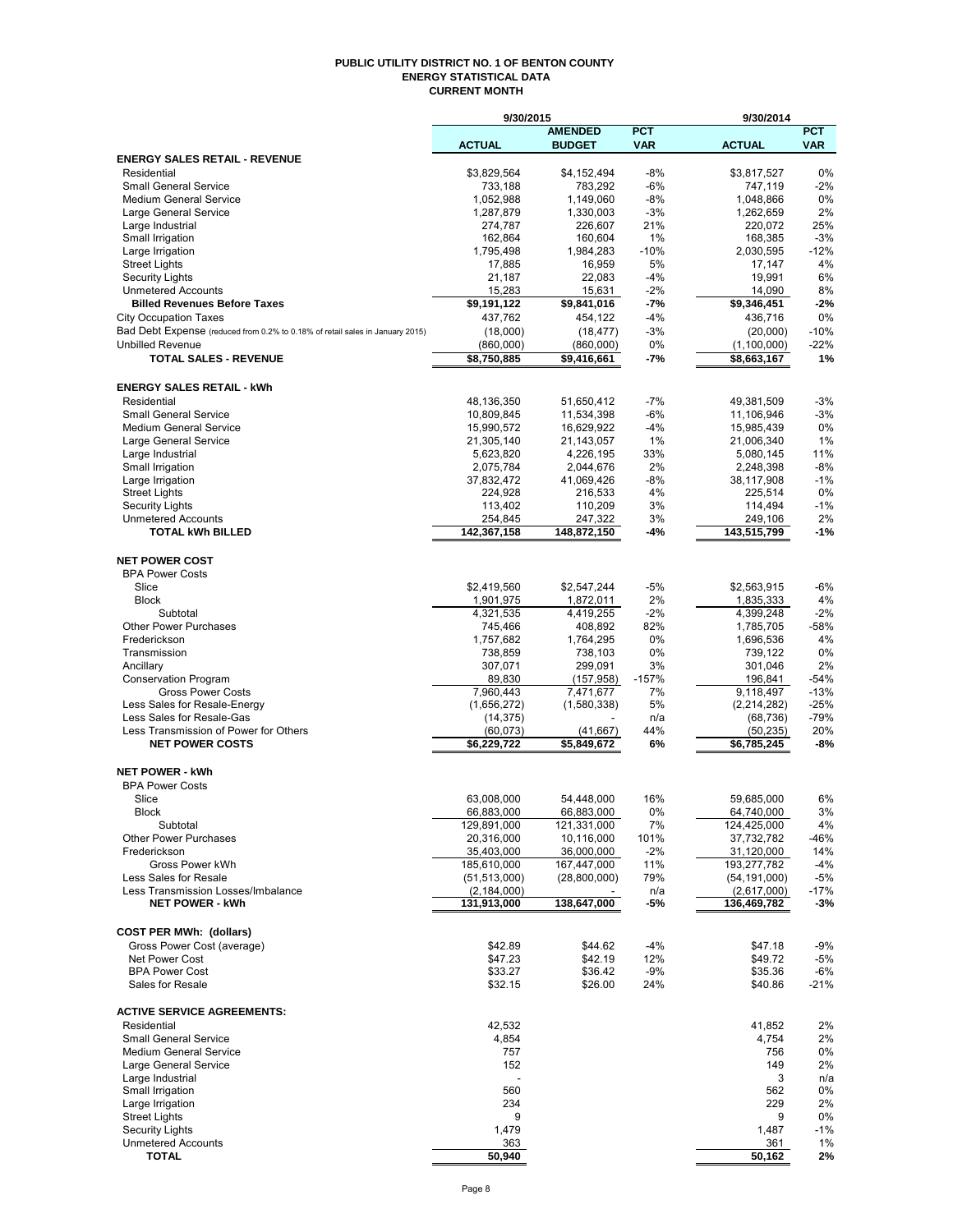#### **PUBLIC UTILITY DISTRICT NO. 1 OF BENTON COUNTY ENERGY STATISTICAL DATA CURRENT MONTH**

|                                                                               | 9/30/2015              |                         |              | 9/30/2014              |             |
|-------------------------------------------------------------------------------|------------------------|-------------------------|--------------|------------------------|-------------|
|                                                                               |                        | <b>AMENDED</b>          | <b>PCT</b>   |                        | <b>PCT</b>  |
|                                                                               | <b>ACTUAL</b>          | <b>BUDGET</b>           | <b>VAR</b>   | <b>ACTUAL</b>          | <b>VAR</b>  |
| <b>ENERGY SALES RETAIL - REVENUE</b>                                          |                        |                         |              |                        |             |
| Residential<br><b>Small General Service</b>                                   | \$3,829,564<br>733,188 | \$4,152,494<br>783,292  | -8%<br>$-6%$ | \$3,817,527<br>747,119 | 0%<br>$-2%$ |
| Medium General Service                                                        | 1,052,988              | 1,149,060               | -8%          | 1,048,866              | 0%          |
| Large General Service                                                         | 1,287,879              | 1,330,003               | $-3%$        | 1,262,659              | 2%          |
| Large Industrial                                                              | 274,787                | 226,607                 | 21%          | 220,072                | 25%         |
| Small Irrigation                                                              | 162,864                | 160,604                 | 1%           | 168,385                | $-3%$       |
| Large Irrigation                                                              | 1,795,498              | 1,984,283               | $-10%$       | 2,030,595              | $-12%$      |
| <b>Street Lights</b>                                                          | 17,885                 | 16,959                  | 5%           | 17,147                 | 4%          |
| <b>Security Lights</b>                                                        | 21,187                 | 22,083                  | $-4%$        | 19,991                 | 6%          |
| <b>Unmetered Accounts</b>                                                     | 15,283                 | 15,631                  | $-2%$        | 14,090                 | 8%          |
| <b>Billed Revenues Before Taxes</b>                                           | \$9,191,122            | \$9,841,016             | -7%          | \$9,346,451            | $-2%$       |
| <b>City Occupation Taxes</b>                                                  | 437,762                | 454,122                 | -4%          | 436,716                | 0%          |
| Bad Debt Expense (reduced from 0.2% to 0.18% of retail sales in January 2015) | (18,000)               | (18, 477)               | -3%          | (20,000)               | $-10%$      |
| <b>Unbilled Revenue</b>                                                       | (860,000)              | (860,000)               | 0%           | (1,100,000)            | $-22%$      |
| <b>TOTAL SALES - REVENUE</b>                                                  | \$8,750,885            | \$9,416,661             | -7%          | \$8,663,167            | 1%          |
|                                                                               |                        |                         |              |                        |             |
| <b>ENERGY SALES RETAIL - kWh</b>                                              |                        |                         |              |                        |             |
| Residential                                                                   | 48,136,350             | 51,650,412              | $-7%$        | 49,381,509             | $-3%$       |
| <b>Small General Service</b>                                                  | 10,809,845             | 11,534,398              | -6%          | 11,106,946             | $-3%$       |
| <b>Medium General Service</b>                                                 | 15,990,572             | 16,629,922              | -4%          | 15,985,439             | 0%          |
| Large General Service                                                         | 21,305,140             | 21,143,057              | 1%           | 21,006,340             | 1%          |
| Large Industrial                                                              | 5,623,820              | 4,226,195               | 33%          | 5,080,145              | 11%         |
| Small Irrigation                                                              | 2,075,784              | 2,044,676               | 2%           | 2,248,398              | $-8%$       |
| Large Irrigation                                                              | 37,832,472             | 41,069,426              | -8%          | 38,117,908             | $-1%$       |
| <b>Street Lights</b>                                                          | 224,928                | 216,533                 | 4%           | 225,514                | 0%          |
| <b>Security Lights</b>                                                        | 113,402                | 110,209                 | 3%           | 114,494                | $-1%$       |
| <b>Unmetered Accounts</b>                                                     | 254,845                | 247,322                 | 3%           | 249,106                | 2%          |
| <b>TOTAL kWh BILLED</b>                                                       | 142,367,158            | 148,872,150             | -4%          | 143,515,799            | -1%         |
|                                                                               |                        |                         |              |                        |             |
| <b>NET POWER COST</b>                                                         |                        |                         |              |                        |             |
| <b>BPA Power Costs</b>                                                        |                        |                         |              |                        |             |
| Slice                                                                         | \$2,419,560            | \$2,547,244             | -5%          | \$2,563,915            | -6%         |
| <b>Block</b>                                                                  | 1,901,975              | 1,872,011               | 2%           | 1,835,333              | 4%          |
| Subtotal                                                                      | 4,321,535              | 4,419,255               | -2%          | 4,399,248              | $-2%$       |
| <b>Other Power Purchases</b>                                                  | 745,466                | 408,892                 | 82%          | 1,785,705              | $-58%$      |
| Frederickson                                                                  | 1,757,682              | 1,764,295               | 0%           | 1,696,536              | 4%<br>0%    |
| Transmission<br>Ancillary                                                     | 738,859<br>307,071     | 738,103<br>299,091      | 0%<br>3%     | 739,122                | 2%          |
| <b>Conservation Program</b>                                                   | 89,830                 |                         | $-157%$      | 301,046                | $-54%$      |
| <b>Gross Power Costs</b>                                                      | 7,960,443              | (157, 958)<br>7,471,677 | 7%           | 196,841<br>9,118,497   | $-13%$      |
| Less Sales for Resale-Energy                                                  | (1,656,272)            | (1,580,338)             | 5%           | (2,214,282)            | $-25%$      |
| Less Sales for Resale-Gas                                                     | (14, 375)              |                         | n/a          | (68, 736)              | $-79%$      |
| Less Transmission of Power for Others                                         | (60, 073)              | (41, 667)               | 44%          | (50, 235)              | 20%         |
| <b>NET POWER COSTS</b>                                                        | \$6,229,722            | \$5,849,672             | 6%           | \$6,785,245            | $-8%$       |
|                                                                               |                        |                         |              |                        |             |
| <b>NET POWER - kWh</b>                                                        |                        |                         |              |                        |             |
| <b>BPA Power Costs</b>                                                        |                        |                         |              |                        |             |
| Slice                                                                         | 63,008,000             | 54,448,000              | 16%          | 59,685,000             | 6%          |
| RIOCK                                                                         | 66,883,000             | 66,883,000              | U%           | 64,740,000             | 3%          |
| Subtotal                                                                      | 129,891,000            | 121,331,000             | 7%           | 124,425,000            | 4%          |
| <b>Other Power Purchases</b>                                                  | 20,316,000             | 10,116,000              | 101%         | 37,732,782             | -46%        |
| Frederickson                                                                  | 35,403,000             | 36,000,000              | $-2%$        | 31,120,000             | 14%         |
| Gross Power kWh                                                               | 185,610,000            | 167.447.000             | 11%          | 193,277,782            | $-4%$       |
| Less Sales for Resale                                                         | (51, 513, 000)         | (28,800,000)            | 79%          | (54, 191, 000)         | $-5%$       |
| Less Transmission Losses/Imbalance                                            | (2, 184, 000)          |                         | n/a          | (2,617,000)            | $-17%$      |
| <b>NET POWER - kWh</b>                                                        | 131,913,000            | 138,647,000             | -5%          | 136,469,782            | $-3%$       |
|                                                                               |                        |                         |              |                        |             |
| <b>COST PER MWh: (dollars)</b>                                                |                        |                         |              |                        |             |
| Gross Power Cost (average)                                                    | \$42.89                | \$44.62                 | $-4%$        | \$47.18                | $-9%$       |
| Net Power Cost                                                                | \$47.23                | \$42.19                 | 12%          | \$49.72                | $-5%$       |
| <b>BPA Power Cost</b>                                                         | \$33.27                | \$36.42                 | $-9%$        | \$35.36                | $-6%$       |
| Sales for Resale                                                              | \$32.15                | \$26.00                 | 24%          | \$40.86                | $-21%$      |
|                                                                               |                        |                         |              |                        |             |
| <b>ACTIVE SERVICE AGREEMENTS:</b>                                             |                        |                         |              |                        |             |
| Residential                                                                   | 42,532                 |                         |              | 41,852                 | 2%          |
| <b>Small General Service</b>                                                  | 4,854                  |                         |              | 4,754                  | 2%          |
| <b>Medium General Service</b>                                                 | 757                    |                         |              | 756                    | 0%          |
| Large General Service                                                         | 152                    |                         |              | 149                    | 2%          |
| Large Industrial                                                              |                        |                         |              | 3                      | n/a         |
| Small Irrigation                                                              | 560                    |                         |              | 562                    | 0%          |
| Large Irrigation<br><b>Street Lights</b>                                      | 234<br>9               |                         |              | 229<br>9               | 2%<br>0%    |
| <b>Security Lights</b>                                                        | 1,479                  |                         |              | 1,487                  | $-1%$       |
| <b>Unmetered Accounts</b>                                                     | 363                    |                         |              | 361                    | 1%          |
| <b>TOTAL</b>                                                                  | 50,940                 |                         |              | 50,162                 | 2%          |
|                                                                               |                        |                         |              |                        |             |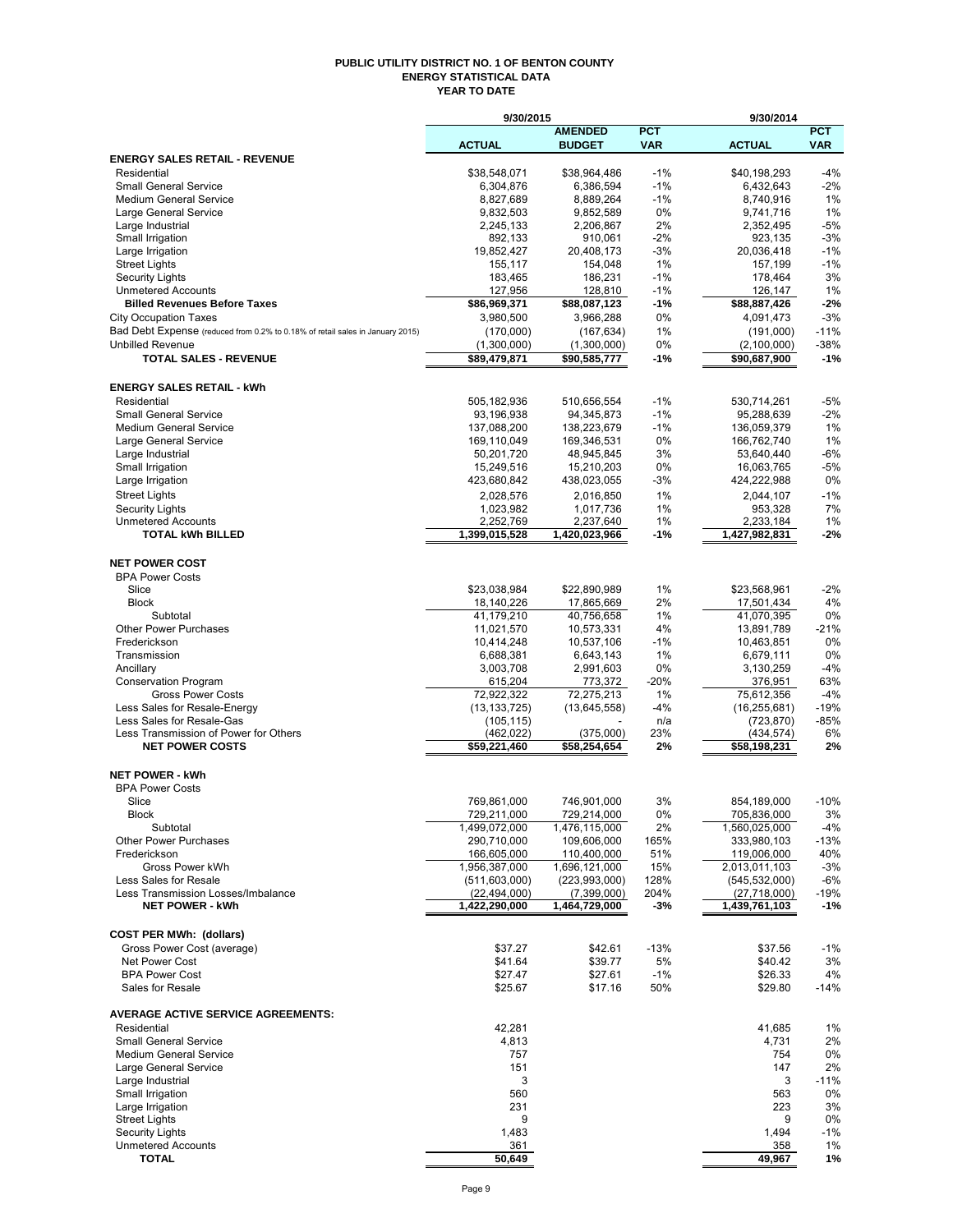#### **PUBLIC UTILITY DISTRICT NO. 1 OF BENTON COUNTY ENERGY STATISTICAL DATA YEAR TO DATE**

|                                                                                                          | 9/30/2015                        |                                |              | 9/30/2014                        |                  |
|----------------------------------------------------------------------------------------------------------|----------------------------------|--------------------------------|--------------|----------------------------------|------------------|
|                                                                                                          |                                  | <b>AMENDED</b>                 | <b>PCT</b>   |                                  | <b>PCT</b>       |
| <b>ENERGY SALES RETAIL - REVENUE</b>                                                                     | <b>ACTUAL</b>                    | <b>BUDGET</b>                  | <b>VAR</b>   | <b>ACTUAL</b>                    | <b>VAR</b>       |
| Residential                                                                                              | \$38,548,071                     | \$38,964,486                   | $-1%$        | \$40,198,293                     | $-4%$            |
| <b>Small General Service</b>                                                                             | 6,304,876                        | 6,386,594                      | $-1%$        | 6,432,643                        | $-2%$            |
| <b>Medium General Service</b>                                                                            | 8,827,689                        | 8,889,264                      | $-1%$        | 8,740,916                        | 1%               |
| Large General Service                                                                                    | 9,832,503                        | 9,852,589                      | 0%           | 9,741,716                        | 1%               |
| Large Industrial                                                                                         | 2,245,133                        | 2,206,867                      | 2%<br>$-2%$  | 2,352,495                        | $-5%$            |
| Small Irrigation<br>Large Irrigation                                                                     | 892,133<br>19,852,427            | 910,061<br>20,408,173          | -3%          | 923,135<br>20,036,418            | $-3%$<br>$-1%$   |
| <b>Street Lights</b>                                                                                     | 155,117                          | 154,048                        | 1%           | 157,199                          | $-1%$            |
| <b>Security Lights</b>                                                                                   | 183,465                          | 186,231                        | -1%          | 178,464                          | 3%               |
| <b>Unmetered Accounts</b>                                                                                | 127,956                          | 128,810                        | -1%          | 126,147                          | 1%               |
| <b>Billed Revenues Before Taxes</b>                                                                      | \$86,969,371                     | \$88,087,123                   | -1%          | \$88,887,426                     | $-2%$            |
| <b>City Occupation Taxes</b>                                                                             | 3,980,500                        | 3.966.288                      | 0%           | 4,091,473                        | $-3%$            |
| Bad Debt Expense (reduced from 0.2% to 0.18% of retail sales in January 2015)<br><b>Unbilled Revenue</b> | (170,000)<br>(1,300,000)         | (167, 634)<br>(1,300,000)      | 1%<br>0%     | (191,000)                        | $-11%$<br>$-38%$ |
| <b>TOTAL SALES - REVENUE</b>                                                                             | \$89,479,871                     | \$90,585,777                   | -1%          | (2,100,000)<br>\$90,687,900      | $-1%$            |
|                                                                                                          |                                  |                                |              |                                  |                  |
| <b>ENERGY SALES RETAIL - kWh</b>                                                                         |                                  |                                |              |                                  |                  |
| Residential                                                                                              | 505,182,936                      | 510,656,554                    | $-1%$        | 530,714,261                      | $-5%$            |
| <b>Small General Service</b>                                                                             | 93,196,938                       | 94,345,873                     | $-1%$        | 95,288,639                       | $-2%$            |
| <b>Medium General Service</b>                                                                            | 137,088,200                      | 138,223,679                    | $-1%$        | 136,059,379                      | 1%               |
| Large General Service                                                                                    | 169,110,049<br>50,201,720        | 169,346,531                    | 0%<br>3%     | 166,762,740                      | 1%<br>$-6%$      |
| Large Industrial<br>Small Irrigation                                                                     | 15,249,516                       | 48,945,845<br>15,210,203       | 0%           | 53,640,440<br>16,063,765         | $-5%$            |
| Large Irrigation                                                                                         | 423,680,842                      | 438,023,055                    | -3%          | 424,222,988                      | 0%               |
| <b>Street Lights</b>                                                                                     | 2,028,576                        | 2,016,850                      | 1%           | 2,044,107                        | $-1%$            |
| <b>Security Lights</b>                                                                                   | 1,023,982                        | 1,017,736                      | 1%           | 953,328                          | 7%               |
| <b>Unmetered Accounts</b>                                                                                | 2,252,769                        | 2,237,640                      | 1%           | 2,233,184                        | 1%               |
| <b>TOTAL kWh BILLED</b>                                                                                  | 1.399,015,528                    | 1,420,023,966                  | -1%          | 1,427,982,831                    | $-2%$            |
|                                                                                                          |                                  |                                |              |                                  |                  |
| <b>NET POWER COST</b><br><b>BPA Power Costs</b>                                                          |                                  |                                |              |                                  |                  |
| Slice                                                                                                    | \$23,038,984                     | \$22,890,989                   | 1%           | \$23,568,961                     | $-2%$            |
| <b>Block</b>                                                                                             | 18,140,226                       | 17,865,669                     | 2%           | 17,501,434                       | 4%               |
| Subtotal                                                                                                 | 41,179,210                       | 40,756,658                     | 1%           | 41,070,395                       | 0%               |
| <b>Other Power Purchases</b>                                                                             | 11,021,570                       | 10,573,331                     | 4%           | 13,891,789                       | $-21%$           |
| Frederickson                                                                                             | 10,414,248                       | 10,537,106                     | $-1%$        | 10,463,851                       | 0%               |
| Transmission                                                                                             | 6,688,381                        | 6,643,143                      | 1%           | 6,679,111                        | 0%               |
| Ancillary                                                                                                | 3,003,708                        | 2,991,603                      | 0%           | 3,130,259                        | $-4%$            |
| <b>Conservation Program</b><br><b>Gross Power Costs</b>                                                  | 615,204<br>72,922,322            | 773,372<br>72,275,213          | $-20%$<br>1% | 376,951<br>75,612,356            | 63%<br>$-4%$     |
| Less Sales for Resale-Energy                                                                             | (13, 133, 725)                   | (13, 645, 558)                 | -4%          | (16, 255, 681)                   | $-19%$           |
| Less Sales for Resale-Gas                                                                                | (105, 115)                       |                                | n/a          | (723, 870)                       | -85%             |
| Less Transmission of Power for Others                                                                    | (462, 022)                       | (375,000)                      | 23%          | (434,574)                        | 6%               |
| <b>NET POWER COSTS</b>                                                                                   | \$59,221,460                     | \$58,254,654                   | 2%           | \$58,198,231                     | 2%               |
| <b>NET POWER - kWh</b>                                                                                   |                                  |                                |              |                                  |                  |
| <b>BPA Power Costs</b>                                                                                   |                                  |                                |              |                                  |                  |
| Slice                                                                                                    | 769.861.000                      | 746,901,000                    | 3%           | 854,189,000                      | $-10%$           |
| <b>Block</b>                                                                                             | 729,211,000                      | 729,214,000                    | 0%           | 705,836,000                      | 3%               |
| Subtotal                                                                                                 | 1,499,072,000                    | 1,476,115,000                  | 2%           | 1,560,025,000                    | $-4%$            |
| <b>Other Power Purchases</b>                                                                             | 290,710,000                      | 109,606,000                    | 165%         | 333,980,103                      | -13%             |
| Frederickson                                                                                             | 166,605,000                      | 110,400,000                    | 51%          | 119,006,000                      | 40%              |
| Gross Power kWh<br>Less Sales for Resale                                                                 | 1,956,387,000<br>(511, 603, 000) | 1,696,121,000<br>(223,993,000) | 15%<br>128%  | 2,013,011,103<br>(545, 532, 000) | $-3%$<br>$-6%$   |
| Less Transmission Losses/Imbalance                                                                       | (22, 494, 000)                   | (7,399,000)                    | 204%         | (27,718,000)                     | -19%             |
| <b>NET POWER - kWh</b>                                                                                   | 1,422,290,000                    | 1,464,729,000                  | -3%          | 1,439,761,103                    | $-1%$            |
|                                                                                                          |                                  |                                |              |                                  |                  |
| <b>COST PER MWh: (dollars)</b>                                                                           |                                  |                                |              |                                  |                  |
| Gross Power Cost (average)                                                                               | \$37.27                          | \$42.61                        | $-13%$       | \$37.56                          | $-1%$            |
| Net Power Cost                                                                                           | \$41.64                          | \$39.77                        | 5%           | \$40.42                          | 3%               |
| <b>BPA Power Cost</b><br>Sales for Resale                                                                | \$27.47<br>\$25.67               | \$27.61<br>\$17.16             | $-1%$<br>50% | \$26.33<br>\$29.80               | 4%<br>$-14%$     |
|                                                                                                          |                                  |                                |              |                                  |                  |
| <b>AVERAGE ACTIVE SERVICE AGREEMENTS:</b>                                                                |                                  |                                |              |                                  |                  |
| Residential                                                                                              | 42,281                           |                                |              | 41,685                           | 1%               |
| <b>Small General Service</b>                                                                             | 4,813                            |                                |              | 4,731                            | 2%               |
| <b>Medium General Service</b>                                                                            | 757                              |                                |              | 754                              | 0%               |
| Large General Service<br>Large Industrial                                                                | 151<br>3                         |                                |              | 147<br>3                         | 2%<br>$-11%$     |
| Small Irrigation                                                                                         | 560                              |                                |              | 563                              | 0%               |
| Large Irrigation                                                                                         | 231                              |                                |              | 223                              | 3%               |
| <b>Street Lights</b>                                                                                     | 9                                |                                |              | 9                                | 0%               |
| <b>Security Lights</b>                                                                                   | 1,483                            |                                |              | 1,494                            | $-1%$            |
| <b>Unmetered Accounts</b>                                                                                | 361                              |                                |              | 358                              | 1%               |
| <b>TOTAL</b>                                                                                             | 50,649                           |                                |              | 49,967                           | 1%               |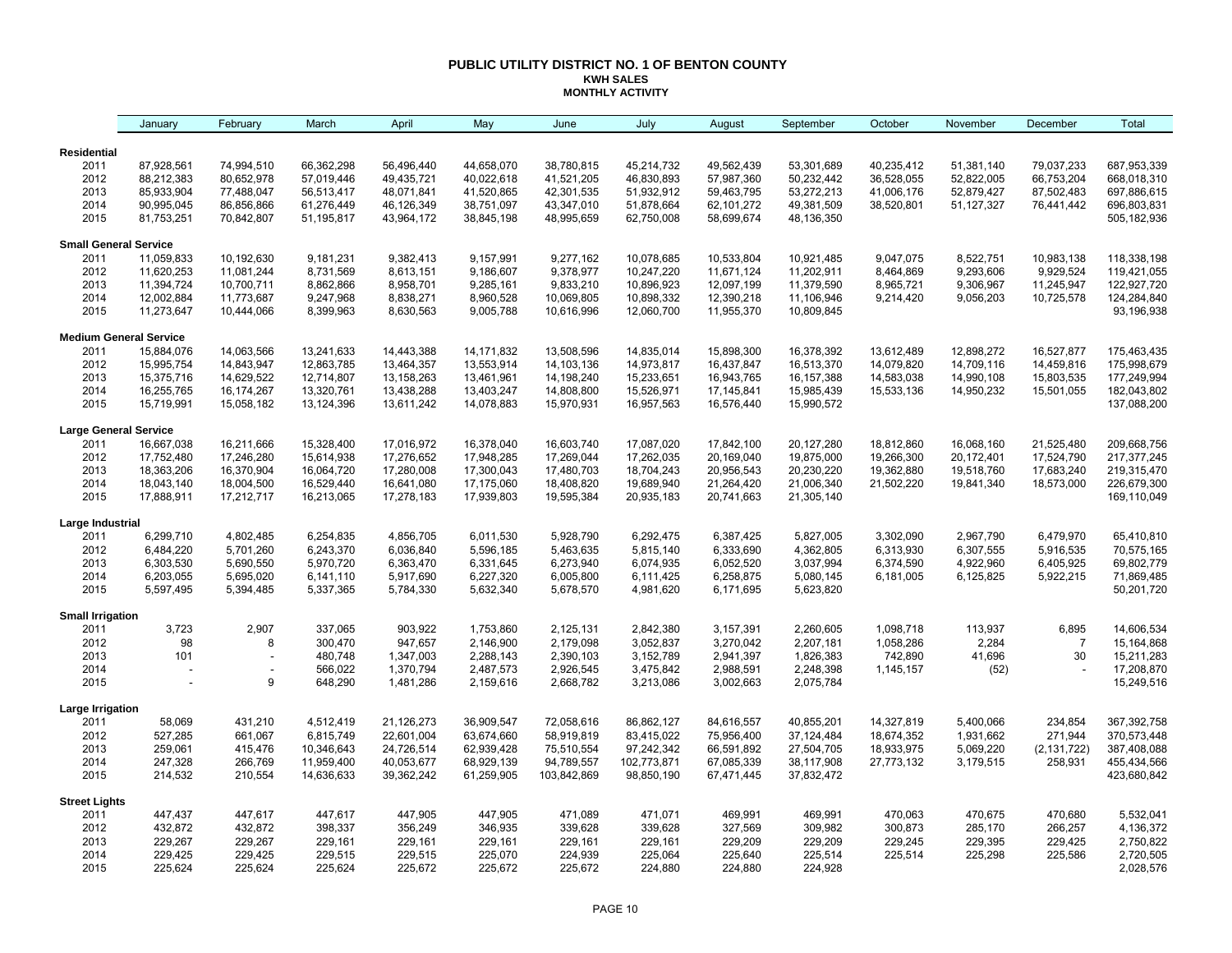#### **PUBLIC UTILITY DISTRICT NO. 1 OF BENTON COUNTY KWH SALES MONTHLY ACTIVITY**

|                                 | January                       | February       | March              | April                  | May                    | June                   | July                   | August                 | September              | October    | November     | December       | Total                    |
|---------------------------------|-------------------------------|----------------|--------------------|------------------------|------------------------|------------------------|------------------------|------------------------|------------------------|------------|--------------|----------------|--------------------------|
| <b>Residential</b>              |                               |                |                    |                        |                        |                        |                        |                        |                        |            |              |                |                          |
| 2011                            | 87,928,561                    | 74,994,510     | 66,362,298         | 56,496,440             | 44,658,070             | 38,780,815             | 45,214,732             | 49,562,439             | 53,301,689             | 40,235,412 | 51,381,140   | 79,037,233     | 687,953,339              |
| 2012                            | 88,212,383                    | 80,652,978     | 57,019,446         | 49,435,721             | 40,022,618             | 41,521,205             | 46,830,893             | 57,987,360             | 50,232,442             | 36,528,055 | 52,822,005   | 66,753,204     | 668,018,310              |
| 2013                            | 85,933,904                    | 77,488,047     | 56,513,417         | 48,071,841             | 41,520,865             | 42,301,535             | 51,932,912             | 59,463,795             | 53,272,213             | 41,006,176 | 52,879,427   | 87,502,483     | 697,886,615              |
| 2014                            | 90,995,045                    | 86,856,866     | 61,276,449         | 46,126,349             | 38,751,097             | 43,347,010             | 51,878,664             | 62,101,272             | 49,381,509             | 38,520,801 | 51, 127, 327 | 76,441,442     | 696,803,831              |
| 2015                            | 81,753,251                    | 70,842,807     | 51,195,817         | 43,964,172             | 38,845,198             | 48,995,659             | 62,750,008             | 58,699,674             | 48,136,350             |            |              |                | 505, 182, 936            |
| <b>Small General Service</b>    |                               |                |                    |                        |                        |                        |                        |                        |                        |            |              |                |                          |
| 2011                            | 11,059,833                    | 10,192,630     | 9,181,231          | 9,382,413              | 9,157,991              | 9,277,162              | 10,078,685             | 10,533,804             | 10,921,485             | 9,047,075  | 8,522,751    | 10,983,138     | 118,338,198              |
| 2012                            | 11,620,253                    | 11,081,244     | 8,731,569          | 8,613,151              | 9,186,607              | 9,378,977              | 10,247,220             | 11,671,124             | 11,202,911             | 8,464,869  | 9,293,606    | 9,929,524      | 119,421,055              |
| 2013                            | 11,394,724                    | 10,700,711     | 8,862,866          | 8,958,701              | 9,285,161              | 9,833,210              | 10,896,923             | 12,097,199             | 11,379,590             | 8,965,721  | 9,306,967    | 11,245,947     | 122,927,720              |
| 2014                            | 12,002,884                    | 11,773,687     | 9,247,968          | 8,838,271              | 8,960,528              | 10,069,805             | 10,898,332             | 12,390,218             | 11,106,946             | 9,214,420  | 9,056,203    | 10,725,578     | 124,284,840              |
| 2015                            | 11,273,647                    | 10,444,066     | 8,399,963          | 8,630,563              | 9,005,788              | 10,616,996             | 12,060,700             | 11,955,370             | 10,809,845             |            |              |                | 93,196,938               |
|                                 | <b>Medium General Service</b> |                |                    |                        |                        |                        |                        |                        |                        |            |              |                |                          |
| 2011                            | 15,884,076                    | 14,063,566     | 13,241,633         | 14,443,388             | 14, 171, 832           | 13,508,596             | 14,835,014             | 15,898,300             | 16,378,392             | 13,612,489 | 12,898,272   | 16,527,877     | 175,463,435              |
| 2012                            | 15,995,754                    | 14,843,947     | 12,863,785         | 13,464,357             | 13,553,914             | 14,103,136             | 14,973,817             | 16,437,847             | 16,513,370             | 14,079,820 | 14,709,116   | 14,459,816     | 175,998,679              |
| 2013                            | 15,375,716                    | 14,629,522     | 12,714,807         | 13,158,263             | 13,461,961             | 14,198,240             | 15,233,651             | 16,943,765             | 16, 157, 388           | 14,583,038 | 14,990,108   | 15,803,535     | 177,249,994              |
| 2014                            | 16,255,765                    | 16,174,267     | 13,320,761         | 13,438,288             | 13,403,247             | 14,808,800             | 15,526,971             | 17,145,841             | 15,985,439             | 15,533,136 | 14,950,232   | 15,501,055     | 182,043,802              |
| 2015                            | 15,719,991                    | 15,058,182     | 13,124,396         | 13,611,242             | 14,078,883             | 15,970,931             | 16,957,563             | 16,576,440             | 15,990,572             |            |              |                | 137,088,200              |
| <b>Large General Service</b>    |                               |                |                    |                        |                        |                        |                        |                        |                        |            |              |                |                          |
| 2011                            | 16,667,038                    | 16,211,666     | 15,328,400         | 17,016,972             | 16,378,040             | 16,603,740             | 17,087,020             | 17,842,100             | 20,127,280             | 18,812,860 | 16,068,160   | 21,525,480     | 209,668,756              |
| 2012                            | 17,752,480                    | 17,246,280     | 15,614,938         | 17,276,652             | 17,948,285             | 17,269,044             | 17,262,035             | 20,169,040             | 19,875,000             | 19,266,300 | 20,172,401   | 17,524,790     | 217, 377, 245            |
| 2013                            | 18,363,206                    | 16,370,904     | 16,064,720         | 17,280,008             | 17,300,043             | 17,480,703             | 18,704,243             | 20,956,543             | 20,230,220             | 19,362,880 | 19,518,760   | 17,683,240     | 219,315,470              |
| 2014                            | 18,043,140                    | 18,004,500     | 16,529,440         | 16,641,080             | 17,175,060             | 18,408,820             | 19,689,940             | 21,264,420             | 21,006,340             | 21,502,220 | 19,841,340   | 18,573,000     | 226,679,300              |
| 2015                            | 17,888,911                    | 17,212,717     | 16,213,065         | 17,278,183             | 17,939,803             | 19,595,384             | 20,935,183             | 20,741,663             | 21,305,140             |            |              |                | 169,110,049              |
| Large Industrial                |                               |                |                    |                        |                        |                        |                        |                        |                        |            |              |                |                          |
| 2011                            | 6,299,710                     | 4,802,485      | 6,254,835          | 4,856,705              | 6,011,530              | 5,928,790              | 6,292,475              | 6,387,425              | 5,827,005              | 3,302,090  | 2,967,790    | 6,479,970      | 65,410,810               |
| 2012                            | 6,484,220                     | 5,701,260      | 6,243,370          | 6,036,840              | 5,596,185              | 5,463,635              | 5,815,140              | 6,333,690              | 4,362,805              | 6,313,930  | 6,307,555    | 5,916,535      | 70,575,165               |
| 2013                            | 6,303,530                     | 5,690,550      | 5,970,720          | 6,363,470              | 6,331,645              | 6,273,940              | 6,074,935              | 6,052,520              | 3,037,994              | 6,374,590  | 4,922,960    | 6,405,925      | 69,802,779               |
| 2014                            | 6,203,055                     | 5,695,020      | 6,141,110          | 5,917,690              | 6,227,320              | 6,005,800              | 6,111,425              | 6,258,875              | 5,080,145              | 6,181,005  | 6,125,825    | 5,922,215      | 71,869,485               |
| 2015                            | 5,597,495                     | 5,394,485      | 5,337,365          | 5,784,330              | 5,632,340              | 5,678,570              | 4,981,620              | 6,171,695              | 5,623,820              |            |              |                | 50,201,720               |
| <b>Small Irrigation</b><br>2011 | 3,723                         | 2,907          | 337,065            | 903,922                | 1,753,860              | 2,125,131              | 2,842,380              | 3,157,391              | 2,260,605              | 1,098,718  | 113,937      | 6,895          | 14,606,534               |
| 2012                            | 98                            | 8              | 300,470            | 947,657                | 2,146,900              | 2,179,098              | 3,052,837              | 3,270,042              | 2,207,181              | 1,058,286  | 2,284        | $\overline{7}$ | 15, 164, 868             |
|                                 |                               |                |                    |                        |                        |                        |                        |                        |                        |            |              |                |                          |
| 2013                            | 101                           | $\overline{a}$ | 480,748            | 1,347,003              | 2,288,143              | 2,390,103              | 3,152,789              | 2,941,397              | 1,826,383              | 742,890    | 41,696       | 30             | 15,211,283               |
| 2014<br>2015                    |                               | 9              | 566,022<br>648,290 | 1,370,794<br>1,481,286 | 2,487,573<br>2,159,616 | 2,926,545<br>2,668,782 | 3,475,842<br>3,213,086 | 2,988,591<br>3,002,663 | 2,248,398<br>2,075,784 | 1,145,157  | (52)         |                | 17,208,870<br>15,249,516 |
| Large Irrigation                |                               |                |                    |                        |                        |                        |                        |                        |                        |            |              |                |                          |
| 2011                            | 58,069                        | 431,210        | 4,512,419          | 21,126,273             | 36,909,547             | 72,058,616             | 86,862,127             | 84,616,557             | 40,855,201             | 14,327,819 | 5,400,066    | 234,854        | 367,392,758              |
| 2012                            | 527,285                       | 661,067        | 6,815,749          | 22,601,004             | 63,674,660             | 58,919,819             | 83,415,022             | 75,956,400             | 37,124,484             | 18,674,352 | 1,931,662    | 271,944        | 370,573,448              |
| 2013                            | 259,061                       | 415,476        | 10,346,643         | 24,726,514             | 62,939,428             | 75,510,554             | 97,242,342             | 66,591,892             | 27,504,705             | 18,933,975 | 5,069,220    | (2, 131, 722)  | 387,408,088              |
| 2014                            | 247,328                       | 266,769        | 11,959,400         | 40,053,677             | 68,929,139             | 94,789,557             | 102,773,871            | 67,085,339             | 38,117,908             | 27,773,132 | 3,179,515    | 258,931        | 455,434,566              |
| 2015                            | 214,532                       | 210,554        | 14,636,633         | 39,362,242             | 61,259,905             | 103,842,869            | 98,850,190             | 67,471,445             | 37,832,472             |            |              |                | 423,680,842              |
| <b>Street Lights</b>            |                               |                |                    |                        |                        |                        |                        |                        |                        |            |              |                |                          |
| 2011                            | 447,437                       | 447,617        | 447,617            | 447,905                | 447,905                | 471,089                | 471,071                | 469,991                | 469,991                | 470,063    | 470,675      | 470,680        | 5,532,041                |
| 2012                            | 432,872                       | 432,872        | 398,337            | 356,249                | 346,935                | 339,628                | 339,628                | 327,569                | 309,982                | 300,873    | 285,170      | 266,257        | 4,136,372                |
| 2013                            | 229,267                       | 229,267        | 229,161            | 229,161                | 229,161                | 229,161                | 229,161                | 229,209                | 229,209                | 229,245    | 229,395      | 229,425        | 2,750,822                |
| 2014                            | 229,425                       | 229,425        | 229,515            | 229,515                | 225,070                | 224,939                | 225,064                | 225,640                | 225,514                | 225,514    | 225,298      | 225,586        | 2,720,505                |
| 2015                            | 225,624                       | 225,624        | 225,624            | 225,672                | 225,672                | 225,672                | 224,880                | 224,880                | 224,928                |            |              |                | 2,028,576                |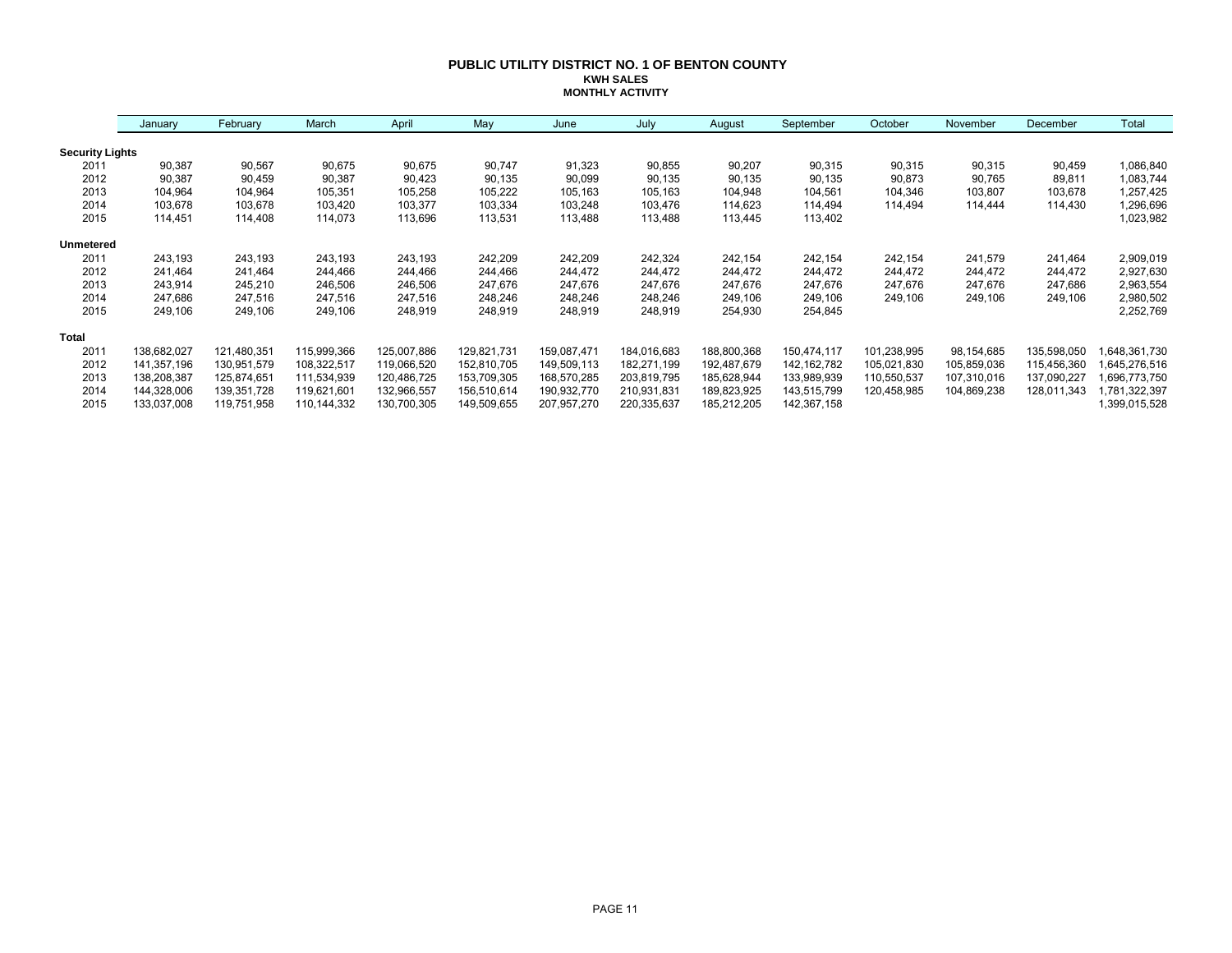#### **PUBLIC UTILITY DISTRICT NO. 1 OF BENTON COUNTY KWH SALES MONTHLY ACTIVITY**

|                        | January     | February    | March       | April       | May         | June        | July        | August      | September     | October     | November    | December    | Total        |
|------------------------|-------------|-------------|-------------|-------------|-------------|-------------|-------------|-------------|---------------|-------------|-------------|-------------|--------------|
| <b>Security Lights</b> |             |             |             |             |             |             |             |             |               |             |             |             |              |
| 2011                   | 90,387      | 90,567      | 90,675      | 90,675      | 90,747      | 91,323      | 90,855      | 90,207      | 90,315        | 90,315      | 90,315      | 90,459      | 1,086,840    |
| 2012                   | 90,387      | 90,459      | 90,387      | 90,423      | 90,135      | 90,099      | 90,135      | 90,135      | 90,135        | 90,873      | 90,765      | 89,811      | 1,083,744    |
| 2013                   | 104,964     | 104,964     | 105,351     | 105,258     | 105,222     | 105,163     | 105,163     | 104,948     | 104,561       | 104,346     | 103,807     | 103,678     | 1,257,425    |
| 2014                   | 103,678     | 103,678     | 103,420     | 103,377     | 103,334     | 103,248     | 103,476     | 114,623     | 114,494       | 114.494     | 114.444     | 114,430     | 1,296,696    |
| 2015                   | 114,451     | 114,408     | 114,073     | 113,696     | 113,531     | 113,488     | 113,488     | 113,445     | 113,402       |             |             |             | 1,023,982    |
| <b>Unmetered</b>       |             |             |             |             |             |             |             |             |               |             |             |             |              |
| 2011                   | 243,193     | 243,193     | 243,193     | 243,193     | 242,209     | 242,209     | 242,324     | 242,154     | 242,154       | 242,154     | 241,579     | 241,464     | 2,909,019    |
| 2012                   | 241,464     | 241,464     | 244,466     | 244,466     | 244,466     | 244,472     | 244,472     | 244,472     | 244,472       | 244,472     | 244,472     | 244,472     | 2,927,630    |
| 2013                   | 243,914     | 245,210     | 246,506     | 246,506     | 247,676     | 247,676     | 247,676     | 247,676     | 247,676       | 247,676     | 247,676     | 247,686     | 2,963,554    |
| 2014                   | 247,686     | 247,516     | 247,516     | 247,516     | 248,246     | 248,246     | 248,246     | 249,106     | 249,106       | 249,106     | 249,106     | 249,106     | 2,980,502    |
| 2015                   | 249,106     | 249,106     | 249,106     | 248,919     | 248,919     | 248,919     | 248,919     | 254,930     | 254,845       |             |             |             | 2,252,769    |
| <b>Total</b>           |             |             |             |             |             |             |             |             |               |             |             |             |              |
| 2011                   | 138,682,027 | 121,480,351 | 115,999,366 | 125,007,886 | 129,821,731 | 159,087,471 | 184,016,683 | 188,800,368 | 150,474,117   | 101,238,995 | 98,154,685  | 135,598,050 | 648,361,730  |
| 2012                   | 141,357,196 | 130,951,579 | 108,322,517 | 119,066,520 | 152,810,705 | 149,509,113 | 182,271,199 | 192,487,679 | 142, 162, 782 | 105,021,830 | 105,859,036 | 115,456,360 | 645,276,516  |
| 2013                   | 138,208,387 | 125,874,651 | 111,534,939 | 120,486,725 | 153,709,305 | 168,570,285 | 203,819,795 | 185,628,944 | 133,989,939   | 110,550,537 | 107,310,016 | 137,090,227 | .696,773,750 |
| 2014                   | 144,328,006 | 139,351,728 | 119,621,601 | 132,966,557 | 156,510,614 | 190,932,770 | 210,931,831 | 189,823,925 | 143,515,799   | 120,458,985 | 104,869,238 | 128,011,343 | ,781,322,397 |
| 2015                   | 133,037,008 | 119,751,958 | 110,144,332 | 130,700,305 | 149,509,655 | 207,957,270 | 220,335,637 | 185,212,205 | 142,367,158   |             |             |             | ,399,015,528 |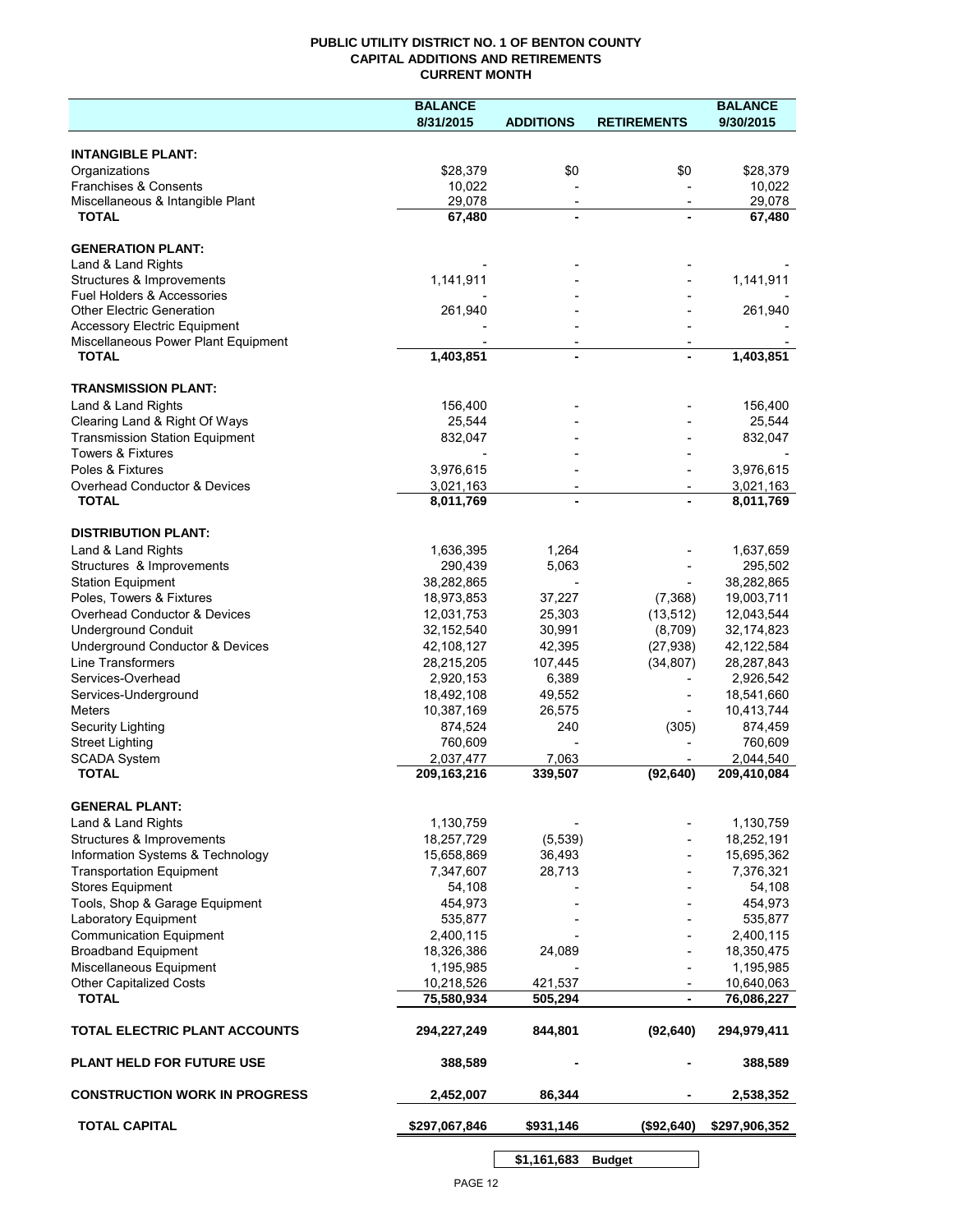## **PUBLIC UTILITY DISTRICT NO. 1 OF BENTON COUNTY CAPITAL ADDITIONS AND RETIREMENTS CURRENT MONTH**

|                                                           | <b>BALANCE</b>             |                                            |                          | <b>BALANCE</b>           |
|-----------------------------------------------------------|----------------------------|--------------------------------------------|--------------------------|--------------------------|
|                                                           | 8/31/2015                  | <b>ADDITIONS</b>                           | <b>RETIREMENTS</b>       | 9/30/2015                |
| <b>INTANGIBLE PLANT:</b>                                  |                            |                                            |                          |                          |
| Organizations                                             | \$28,379                   | \$0                                        | \$0                      | \$28,379                 |
| Franchises & Consents                                     | 10,022                     |                                            |                          | 10,022                   |
| Miscellaneous & Intangible Plant                          | 29,078                     | $\overline{\phantom{a}}$                   | $\overline{\phantom{a}}$ | 29,078                   |
| <b>TOTAL</b>                                              | 67,480                     | $\blacksquare$                             |                          | 67,480                   |
| <b>GENERATION PLANT:</b>                                  |                            |                                            |                          |                          |
| Land & Land Rights                                        |                            |                                            |                          |                          |
| Structures & Improvements                                 | 1,141,911                  |                                            |                          | 1,141,911                |
| Fuel Holders & Accessories                                |                            |                                            |                          |                          |
| <b>Other Electric Generation</b>                          | 261,940                    |                                            |                          | 261,940                  |
| <b>Accessory Electric Equipment</b>                       |                            |                                            |                          |                          |
| Miscellaneous Power Plant Equipment<br><b>TOTAL</b>       | 1,403,851                  | $\overline{\phantom{a}}$<br>$\blacksquare$ |                          | 1,403,851                |
|                                                           |                            |                                            |                          |                          |
| <b>TRANSMISSION PLANT:</b>                                |                            |                                            |                          |                          |
| Land & Land Rights                                        | 156,400                    |                                            |                          | 156,400                  |
| Clearing Land & Right Of Ways                             | 25,544                     |                                            |                          | 25,544                   |
| <b>Transmission Station Equipment</b>                     | 832,047                    |                                            |                          | 832,047                  |
| <b>Towers &amp; Fixtures</b>                              |                            |                                            |                          |                          |
| Poles & Fixtures                                          | 3,976,615                  |                                            |                          | 3,976,615                |
| <b>Overhead Conductor &amp; Devices</b>                   | 3,021,163                  |                                            |                          | 3,021,163                |
| <b>TOTAL</b>                                              | 8,011,769                  |                                            |                          | 8,011,769                |
| <b>DISTRIBUTION PLANT:</b>                                |                            |                                            |                          |                          |
| Land & Land Rights                                        | 1,636,395                  | 1,264                                      |                          | 1,637,659                |
| Structures & Improvements                                 | 290,439                    | 5,063                                      |                          | 295,502                  |
| <b>Station Equipment</b>                                  | 38,282,865                 |                                            |                          | 38,282,865               |
| Poles, Towers & Fixtures                                  | 18,973,853                 | 37,227                                     | (7,368)                  | 19,003,711               |
| Overhead Conductor & Devices                              | 12,031,753                 | 25,303                                     | (13, 512)                | 12,043,544               |
| <b>Underground Conduit</b>                                | 32,152,540                 | 30,991                                     | (8,709)                  | 32,174,823               |
| Underground Conductor & Devices                           | 42,108,127                 | 42,395                                     | (27, 938)                | 42,122,584               |
| <b>Line Transformers</b>                                  | 28,215,205                 | 107,445                                    | (34, 807)                | 28,287,843               |
| Services-Overhead                                         | 2,920,153                  | 6,389                                      |                          | 2,926,542                |
| Services-Underground                                      | 18,492,108                 | 49,552                                     |                          | 18,541,660               |
| Meters                                                    | 10,387,169                 | 26,575                                     |                          | 10,413,744               |
| Security Lighting                                         | 874,524                    | 240                                        | (305)                    | 874,459                  |
| <b>Street Lighting</b>                                    | 760,609                    |                                            |                          | 760,609                  |
| <b>SCADA System</b><br><b>TOTAL</b>                       | 2,037,477<br>209, 163, 216 | 7,063<br>339,507                           | (92, 640)                | 2,044,540<br>209,410,084 |
|                                                           |                            |                                            |                          |                          |
| <b>GENERAL PLANT:</b>                                     |                            |                                            |                          |                          |
| Land & Land Rights                                        | 1,130,759                  |                                            |                          | 1,130,759                |
| Structures & Improvements                                 | 18,257,729                 | (5,539)                                    |                          | 18,252,191               |
| Information Systems & Technology                          | 15,658,869                 | 36,493                                     |                          | 15,695,362               |
| <b>Transportation Equipment</b>                           | 7,347,607                  | 28,713                                     |                          | 7,376,321                |
| <b>Stores Equipment</b>                                   | 54,108                     |                                            |                          | 54,108                   |
| Tools, Shop & Garage Equipment                            | 454,973                    |                                            |                          | 454,973                  |
| Laboratory Equipment                                      | 535,877                    |                                            |                          | 535,877                  |
| <b>Communication Equipment</b>                            | 2,400,115                  |                                            |                          | 2,400,115                |
| <b>Broadband Equipment</b>                                | 18,326,386                 | 24,089                                     |                          | 18,350,475               |
| Miscellaneous Equipment<br><b>Other Capitalized Costs</b> | 1,195,985<br>10,218,526    | 421,537                                    |                          | 1,195,985                |
| <b>TOTAL</b>                                              | 75,580,934                 | 505,294                                    |                          | 10,640,063<br>76,086,227 |
|                                                           |                            |                                            |                          |                          |
| TOTAL ELECTRIC PLANT ACCOUNTS                             | 294,227,249                | 844,801                                    | (92, 640)                | 294,979,411              |
| <b>PLANT HELD FOR FUTURE USE</b>                          | 388,589                    |                                            |                          | 388,589                  |
| <b>CONSTRUCTION WORK IN PROGRESS</b>                      | 2,452,007                  | 86,344                                     |                          | 2,538,352                |
| <b>TOTAL CAPITAL</b>                                      | \$297,067,846              | \$931,146                                  | (\$92,640)               | \$297,906,352            |
|                                                           |                            |                                            |                          |                          |

**\$1,161,683 Budget**

 $\overline{\phantom{a}}$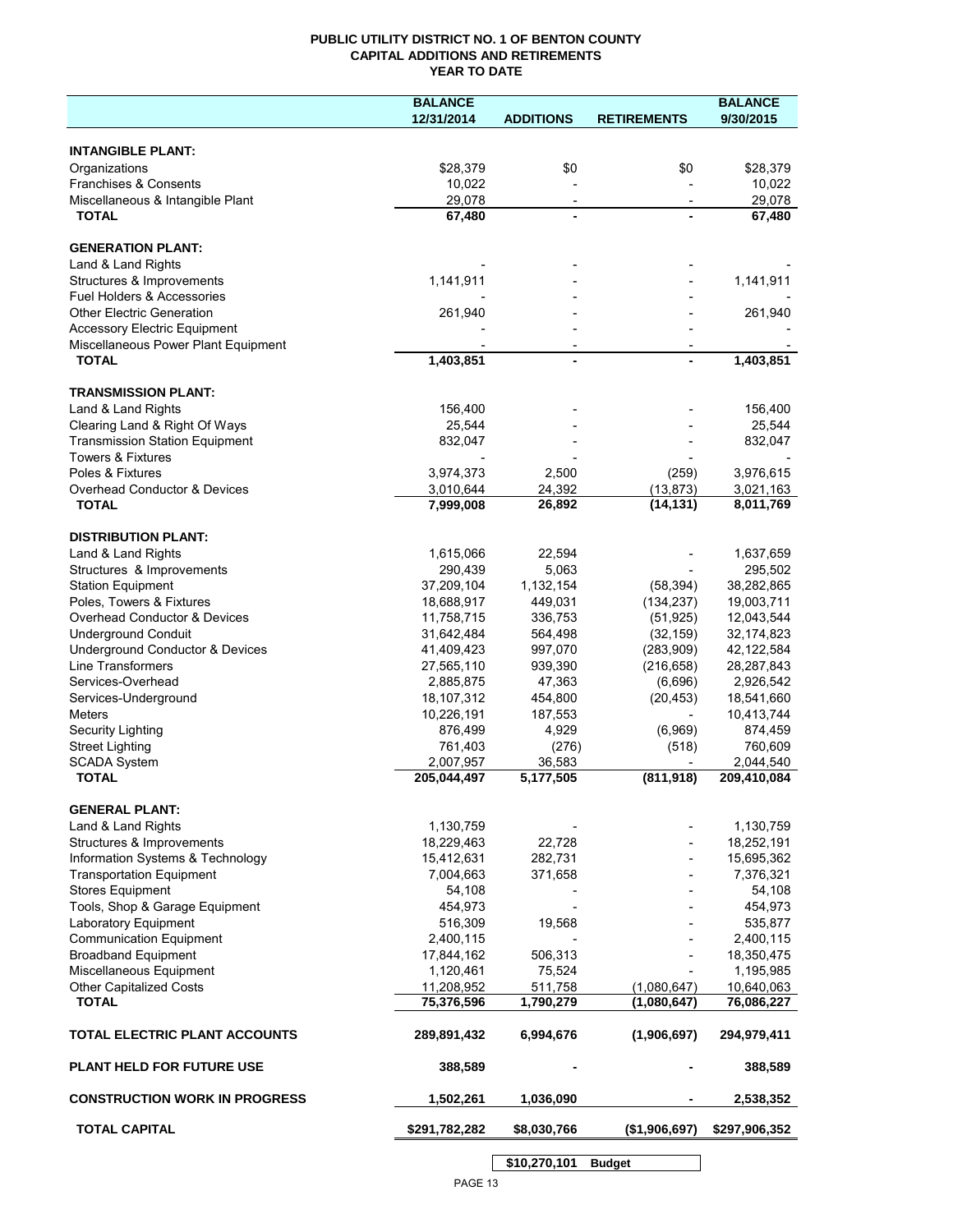## **PUBLIC UTILITY DISTRICT NO. 1 OF BENTON COUNTY CAPITAL ADDITIONS AND RETIREMENTS YEAR TO DATE**

|                                       | <b>BALANCE</b> |                          |                          | <b>BALANCE</b> |
|---------------------------------------|----------------|--------------------------|--------------------------|----------------|
|                                       | 12/31/2014     | <b>ADDITIONS</b>         | <b>RETIREMENTS</b>       | 9/30/2015      |
|                                       |                |                          |                          |                |
| <b>INTANGIBLE PLANT:</b>              |                |                          |                          |                |
| Organizations                         | \$28,379       | \$0                      | \$0                      | \$28,379       |
| Franchises & Consents                 | 10,022         |                          |                          | 10,022         |
| Miscellaneous & Intangible Plant      | 29,078         | $\overline{\phantom{a}}$ | $\overline{\phantom{a}}$ | 29,078         |
| <b>TOTAL</b>                          | 67,480         |                          |                          | 67,480         |
|                                       |                |                          |                          |                |
| <b>GENERATION PLANT:</b>              |                |                          |                          |                |
| Land & Land Rights                    |                |                          |                          |                |
| Structures & Improvements             | 1,141,911      |                          |                          | 1,141,911      |
| Fuel Holders & Accessories            |                |                          |                          |                |
| <b>Other Electric Generation</b>      | 261,940        |                          |                          | 261,940        |
| <b>Accessory Electric Equipment</b>   |                |                          |                          |                |
| Miscellaneous Power Plant Equipment   |                |                          |                          |                |
| <b>TOTAL</b>                          | 1,403,851      |                          |                          | 1,403,851      |
|                                       |                |                          |                          |                |
| <b>TRANSMISSION PLANT:</b>            |                |                          |                          |                |
| Land & Land Rights                    | 156,400        |                          |                          | 156,400        |
| Clearing Land & Right Of Ways         | 25,544         |                          |                          | 25,544         |
| <b>Transmission Station Equipment</b> | 832,047        |                          |                          | 832,047        |
| <b>Towers &amp; Fixtures</b>          |                |                          |                          |                |
| Poles & Fixtures                      | 3,974,373      | 2,500                    | (259)                    | 3,976,615      |
| Overhead Conductor & Devices          | 3,010,644      | 24,392                   | (13, 873)                | 3,021,163      |
| <b>TOTAL</b>                          | 7,999,008      | 26,892                   | (14, 131)                | 8,011,769      |
|                                       |                |                          |                          |                |
| <b>DISTRIBUTION PLANT:</b>            |                |                          |                          |                |
| Land & Land Rights                    | 1,615,066      | 22,594                   |                          | 1,637,659      |
| Structures & Improvements             | 290,439        | 5,063                    |                          | 295,502        |
| <b>Station Equipment</b>              | 37,209,104     | 1,132,154                | (58, 394)                | 38,282,865     |
| Poles, Towers & Fixtures              | 18,688,917     | 449,031                  | (134, 237)               | 19,003,711     |
| Overhead Conductor & Devices          | 11,758,715     | 336,753                  | (51, 925)                | 12,043,544     |
| <b>Underground Conduit</b>            | 31,642,484     | 564,498                  | (32, 159)                | 32,174,823     |
| Underground Conductor & Devices       | 41,409,423     | 997,070                  | (283,909)                | 42,122,584     |
| Line Transformers                     | 27,565,110     | 939,390                  | (216, 658)               | 28,287,843     |
| Services-Overhead                     | 2,885,875      | 47,363                   | (6,696)                  | 2,926,542      |
| Services-Underground                  | 18,107,312     | 454,800                  | (20, 453)                | 18,541,660     |
| Meters                                | 10,226,191     | 187,553                  |                          | 10,413,744     |
| Security Lighting                     | 876,499        | 4,929                    | (6,969)                  | 874,459        |
| <b>Street Lighting</b>                | 761,403        | (276)                    | (518)                    | 760,609        |
| <b>SCADA System</b>                   | 2,007,957      | 36,583                   |                          | 2,044,540      |
| <b>TOTAL</b>                          | 205,044,497    | 5,177,505                | (811, 918)               | 209,410,084    |
|                                       |                |                          |                          |                |
| <b>GENERAL PLANT:</b>                 |                |                          |                          |                |
| Land & Land Rights                    | 1,130,759      |                          |                          | 1,130,759      |
| Structures & Improvements             | 18,229,463     | 22,728                   |                          | 18,252,191     |
| Information Systems & Technology      | 15,412,631     | 282,731                  |                          | 15,695,362     |
| <b>Transportation Equipment</b>       | 7,004,663      | 371,658                  |                          | 7,376,321      |
| <b>Stores Equipment</b>               | 54,108         |                          |                          | 54,108         |
| Tools, Shop & Garage Equipment        | 454,973        |                          |                          | 454,973        |
| Laboratory Equipment                  | 516,309        | 19,568                   |                          | 535,877        |
| <b>Communication Equipment</b>        | 2,400,115      |                          |                          | 2,400,115      |
| <b>Broadband Equipment</b>            | 17,844,162     | 506,313                  |                          | 18,350,475     |
| Miscellaneous Equipment               | 1,120,461      | 75,524                   |                          | 1,195,985      |
| Other Capitalized Costs               | 11,208,952     | 511,758                  | (1,080,647)              | 10,640,063     |
| <b>TOTAL</b>                          | 75,376,596     | 1,790,279                | (1,080,647)              | 76,086,227     |
|                                       |                |                          |                          |                |
| TOTAL ELECTRIC PLANT ACCOUNTS         | 289,891,432    | 6,994,676                | (1,906,697)              | 294,979,411    |
|                                       |                |                          |                          |                |
| <b>PLANT HELD FOR FUTURE USE</b>      | 388,589        |                          |                          | 388,589        |
|                                       |                |                          |                          |                |
| <b>CONSTRUCTION WORK IN PROGRESS</b>  | 1,502,261      | 1,036,090                |                          | 2,538,352      |
|                                       |                |                          |                          |                |
| <b>TOTAL CAPITAL</b>                  | \$291,782,282  | \$8,030,766              | (\$1,906,697)            | \$297,906,352  |
|                                       |                |                          |                          |                |

PAGE 13 **\$10,270,101 Budget**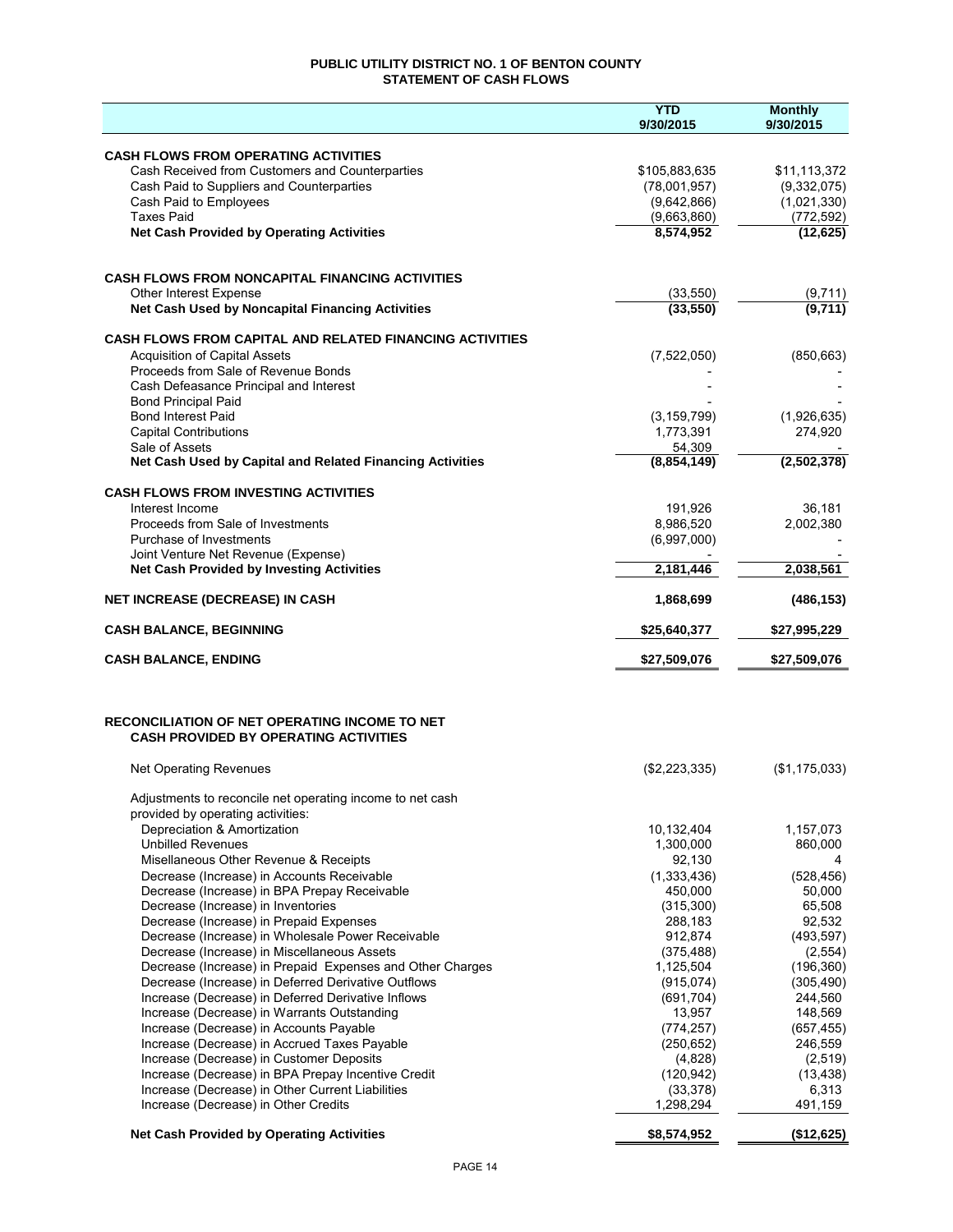## **PUBLIC UTILITY DISTRICT NO. 1 OF BENTON COUNTY STATEMENT OF CASH FLOWS**

|                                                                                                         | <b>YTD</b><br>9/30/2015  | <b>Monthly</b><br>9/30/2015 |
|---------------------------------------------------------------------------------------------------------|--------------------------|-----------------------------|
|                                                                                                         |                          |                             |
| <b>CASH FLOWS FROM OPERATING ACTIVITIES</b><br>Cash Received from Customers and Counterparties          | \$105,883,635            | \$11,113,372                |
| Cash Paid to Suppliers and Counterparties                                                               | (78,001,957)             | (9,332,075)                 |
| Cash Paid to Employees                                                                                  | (9,642,866)              | (1,021,330)                 |
| <b>Taxes Paid</b>                                                                                       | (9,663,860)              | (772, 592)                  |
| <b>Net Cash Provided by Operating Activities</b>                                                        | 8,574,952                | (12, 625)                   |
|                                                                                                         |                          |                             |
| <b>CASH FLOWS FROM NONCAPITAL FINANCING ACTIVITIES</b>                                                  |                          |                             |
| Other Interest Expense<br>Net Cash Used by Noncapital Financing Activities                              | (33, 550)<br>(33, 550)   | $\frac{(9,711)}{(9,711)}$   |
|                                                                                                         |                          |                             |
| <b>CASH FLOWS FROM CAPITAL AND RELATED FINANCING ACTIVITIES</b><br><b>Acquisition of Capital Assets</b> |                          |                             |
| Proceeds from Sale of Revenue Bonds                                                                     | (7,522,050)              | (850, 663)                  |
| Cash Defeasance Principal and Interest                                                                  |                          |                             |
| <b>Bond Principal Paid</b>                                                                              |                          |                             |
| <b>Bond Interest Paid</b>                                                                               | (3, 159, 799)            | (1,926,635)                 |
| <b>Capital Contributions</b>                                                                            | 1,773,391                | 274,920                     |
| Sale of Assets                                                                                          | 54,309                   |                             |
| Net Cash Used by Capital and Related Financing Activities                                               | (8,854,149)              | (2, 502, 378)               |
| <b>CASH FLOWS FROM INVESTING ACTIVITIES</b>                                                             |                          |                             |
| Interest Income                                                                                         | 191.926                  | 36,181                      |
| Proceeds from Sale of Investments                                                                       | 8,986,520                | 2,002,380                   |
| Purchase of Investments                                                                                 | (6,997,000)              |                             |
| Joint Venture Net Revenue (Expense)<br><b>Net Cash Provided by Investing Activities</b>                 | 2,181,446                | 2,038,561                   |
| NET INCREASE (DECREASE) IN CASH                                                                         | 1,868,699                | (486, 153)                  |
| <b>CASH BALANCE, BEGINNING</b>                                                                          | \$25,640,377             | \$27,995,229                |
|                                                                                                         |                          |                             |
| <b>CASH BALANCE, ENDING</b>                                                                             | \$27,509,076             | \$27,509,076                |
|                                                                                                         |                          |                             |
| <b>RECONCILIATION OF NET OPERATING INCOME TO NET</b><br><b>CASH PROVIDED BY OPERATING ACTIVITIES</b>    |                          |                             |
|                                                                                                         |                          |                             |
| <b>Net Operating Revenues</b>                                                                           | (\$2,223,335)            | (\$1,175,033)               |
| Adjustments to reconcile net operating income to net cash                                               |                          |                             |
| provided by operating activities:                                                                       |                          |                             |
| Depreciation & Amortization<br><b>Unbilled Revenues</b>                                                 | 10,132,404<br>1,300,000  | 1,157,073<br>860,000        |
| Misellaneous Other Revenue & Receipts                                                                   | 92,130                   | 4                           |
| Decrease (Increase) in Accounts Receivable                                                              | (1,333,436)              | (528, 456)                  |
| Decrease (Increase) in BPA Prepay Receivable                                                            | 450,000                  | 50,000                      |
| Decrease (Increase) in Inventories                                                                      | (315,300)                | 65,508                      |
| Decrease (Increase) in Prepaid Expenses                                                                 | 288,183                  | 92,532                      |
| Decrease (Increase) in Wholesale Power Receivable                                                       | 912,874                  | (493, 597)                  |
| Decrease (Increase) in Miscellaneous Assets                                                             | (375, 488)               | (2,554)                     |
| Decrease (Increase) in Prepaid Expenses and Other Charges                                               | 1,125,504                | (196, 360)                  |
| Decrease (Increase) in Deferred Derivative Outflows                                                     | (915,074)                | (305, 490)                  |
| Increase (Decrease) in Deferred Derivative Inflows                                                      | (691, 704)               | 244,560                     |
| Increase (Decrease) in Warrants Outstanding                                                             | 13,957                   | 148,569                     |
| Increase (Decrease) in Accounts Payable<br>Increase (Decrease) in Accrued Taxes Payable                 | (774, 257)<br>(250, 652) | (657, 455)<br>246,559       |
| Increase (Decrease) in Customer Deposits                                                                | (4,828)                  | (2,519)                     |
| Increase (Decrease) in BPA Prepay Incentive Credit                                                      | (120, 942)               | (13, 438)                   |
| Increase (Decrease) in Other Current Liabilities                                                        | (33, 378)                | 6,313                       |
| Increase (Decrease) in Other Credits                                                                    | 1,298,294                | 491,159                     |
| <b>Net Cash Provided by Operating Activities</b>                                                        | \$8,574,952              | (\$12,625)                  |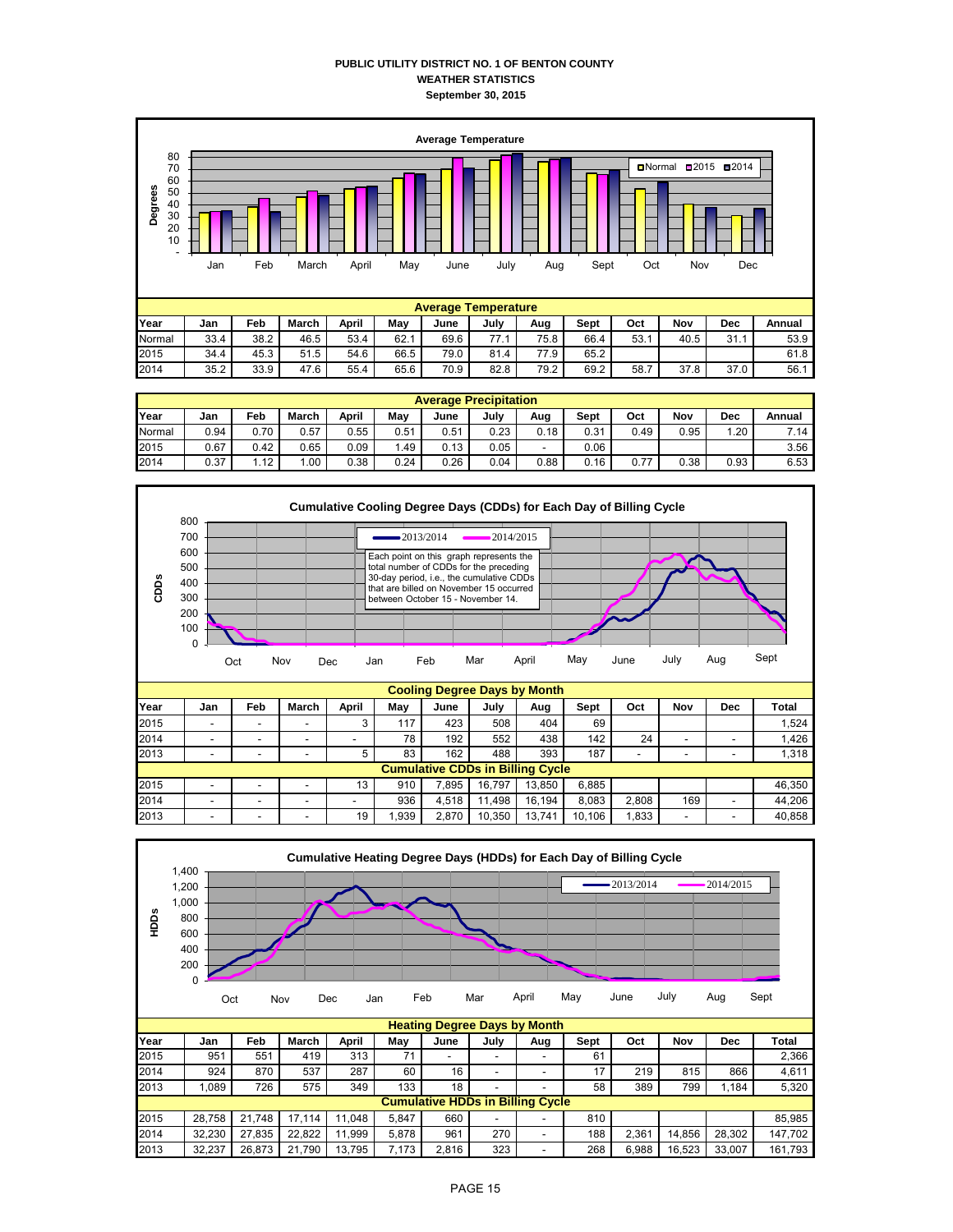## **PUBLIC UTILITY DISTRICT NO. 1 OF BENTON COUNTY WEATHER STATISTICS September 30, 2015**



|        | <b>Average Precipitation</b> |      |          |       |      |      |      |      |      |      |      |      |        |  |  |
|--------|------------------------------|------|----------|-------|------|------|------|------|------|------|------|------|--------|--|--|
| Year   | Jan                          | Feb  | March    | April | May  | June | July | Aug  | Sept | Oct  | Nov  | Dec  | Annual |  |  |
| Normal | 0.94                         | 0.70 | 0.57     | 0.55  | 0.51 | 0.51 | 0.23 | 0.18 | 0.31 | 0.49 | 0.95 | 1.20 | 7.14   |  |  |
| 2015   | 0.67                         | 0.42 | 0.65     | 0.09  | . 49 | 0.13 | 0.05 | -    | 0.06 |      |      |      | 3.56   |  |  |
| 2014   | 0.37                         | 1.12 | $.00 \,$ | 0.38  | 0.24 | 0.26 | 0.04 | 0.88 | 0.16 | 0.77 | 0.38 | 0.93 | 6.53   |  |  |



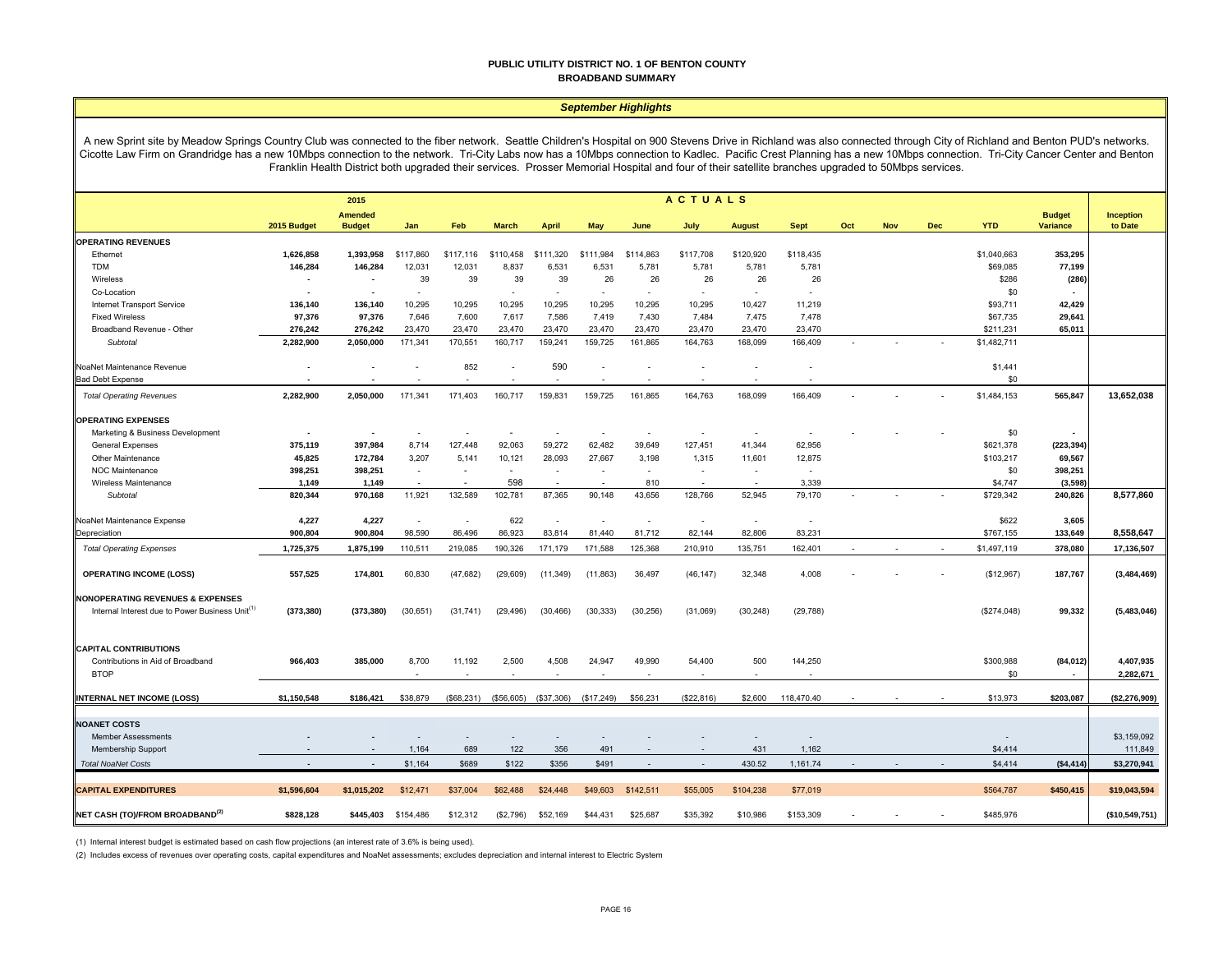#### **PUBLIC UTILITY DISTRICT NO. 1 OF BENTON COUNTY BROADBAND SUMMARY**

#### *September Highlights*

A new Sprint site by Meadow Springs Country Club was connected to the fiber network. Seattle Children's Hospital on 900 Stevens Drive in Richland was also connected through City of Richland and Benton PUD's networks. Cicotte Law Firm on Grandridge has a new 10Mbps connection to the network. Tri-City Labs now has a 10Mbps connection to Kadlec. Pacific Crest Planning has a new 10Mbps connection. Tri-City Cancer Center and Benton Franklin Health District both upgraded their services. Prosser Memorial Hospital and four of their satellite branches upgraded to 50Mbps services.

|                                                             | <b>ACTUALS</b><br>2015   |                                 |                          |            |              |              |            |           |                          |                          |             |     |     |            |             |                                  |                      |
|-------------------------------------------------------------|--------------------------|---------------------------------|--------------------------|------------|--------------|--------------|------------|-----------|--------------------------|--------------------------|-------------|-----|-----|------------|-------------|----------------------------------|----------------------|
|                                                             | 2015 Budget              | <b>Amended</b><br><b>Budget</b> | Jan                      | Feb        | <b>March</b> | <b>April</b> | May        | June      | July                     | <b>August</b>            | <b>Sept</b> | Oct | Nov | <b>Dec</b> | <b>YTD</b>  | <b>Budget</b><br><b>Variance</b> | Inception<br>to Date |
| <b>OPERATING REVENUES</b>                                   |                          |                                 |                          |            |              |              |            |           |                          |                          |             |     |     |            |             |                                  |                      |
| Ethernet                                                    | 1,626,858                | 1,393,958                       | \$117,860                | \$117,116  | \$110,458    | \$111,320    | \$111,984  | \$114,863 | \$117,708                | \$120,920                | \$118,435   |     |     |            | \$1,040,663 | 353,295                          |                      |
| <b>TDM</b>                                                  | 146,284                  | 146,284                         | 12,031                   | 12,031     | 8,837        | 6,531        | 6,531      | 5,781     | 5,781                    | 5,781                    | 5,781       |     |     |            | \$69,085    | 77,199                           |                      |
| Wireless                                                    | $\blacksquare$           | $\sim$                          | 39                       | 39         | 39           | 39           | 26         | 26        | 26                       | 26                       | 26          |     |     |            | \$286       | (286)                            |                      |
| Co-Location                                                 | $\overline{\phantom{a}}$ | $\overline{\phantom{a}}$        | $\sim$                   |            | $\sim$       | $\sim$       | $\sim$     | $\sim$    | $\sim$                   | $\sim$                   | $\sim$      |     |     |            | \$0         |                                  |                      |
| Internet Transport Service                                  | 136,140                  | 136,140                         | 10,295                   | 10,295     | 10,295       | 10,295       | 10,295     | 10,295    | 10,295                   | 10,427                   | 11,219      |     |     |            | \$93,711    | 42,429                           |                      |
| <b>Fixed Wireless</b>                                       | 97,376                   | 97,376                          | 7,646                    | 7,600      | 7,617        | 7,586        | 7,419      | 7,430     | 7,484                    | 7,475                    | 7,478       |     |     |            | \$67,735    | 29,641                           |                      |
| Broadband Revenue - Other                                   | 276,242                  | 276,242                         | 23,470                   | 23,470     | 23,470       | 23,470       | 23,470     | 23,470    | 23,470                   | 23,470                   | 23,470      |     |     |            | \$211,231   | 65,011                           |                      |
| Subtotal                                                    | 2,282,900                | 2,050,000                       | 171,341                  | 170,551    | 160,717      | 159,241      | 159,725    | 161,865   | 164,763                  | 168,099                  | 166,409     |     |     |            | \$1,482,711 |                                  |                      |
| NoaNet Maintenance Revenue                                  |                          |                                 |                          | 852        |              | 590          | $\sim$     |           |                          |                          | $\sim$      |     |     |            | \$1,441     |                                  |                      |
| <b>Bad Debt Expense</b>                                     |                          |                                 |                          |            |              |              |            |           |                          |                          |             |     |     |            | \$0         |                                  |                      |
| <b>Total Operating Revenues</b>                             | 2,282,900                | 2,050,000                       | 171,341                  | 171,403    | 160,717      | 159,831      | 159,725    | 161,865   | 164,763                  | 168,099                  | 166,409     |     |     |            | \$1,484,153 | 565,847                          | 13,652,038           |
| <b>OPERATING EXPENSES</b>                                   |                          |                                 |                          |            |              |              |            |           |                          |                          |             |     |     |            |             |                                  |                      |
| Marketing & Business Development                            | $\blacksquare$           | $\blacksquare$                  |                          |            |              |              |            |           |                          | $\overline{\phantom{a}}$ |             |     |     |            | \$0         |                                  |                      |
| <b>General Expenses</b>                                     | 375,119                  | 397,984                         | 8,714                    | 127,448    | 92,063       | 59,272       | 62,482     | 39,649    | 127,451                  | 41,344                   | 62,956      |     |     |            | \$621,378   | (223,394                         |                      |
| Other Maintenance                                           | 45,825                   | 172,784                         | 3,207                    | 5,141      | 10,121       | 28,093       | 27,667     | 3,198     | 1,315                    | 11,601                   | 12,875      |     |     |            | \$103,217   | 69,567                           |                      |
| <b>NOC Maintenance</b>                                      | 398,251                  | 398,251                         | $\overline{\phantom{a}}$ | ٠          | $\sim$       | $\sim$       | $\sim$     | $\sim$    | $\sim$                   | $\overline{\phantom{a}}$ | $\sim$      |     |     |            | \$0         | 398,251                          |                      |
| Wireless Maintenance                                        | 1,149                    | 1,149                           |                          |            | 598          |              |            | 810       | $\overline{\phantom{a}}$ |                          | 3,339       |     |     |            | \$4,747     | (3, 598)                         |                      |
| Subtotal                                                    | 820,344                  | 970,168                         | 11,921                   | 132,589    | 102,781      | 87,365       | 90,148     | 43,656    | 128,766                  | 52,945                   | 79,170      |     |     |            | \$729,342   | 240,826                          | 8,577,860            |
| NoaNet Maintenance Expense                                  | 4,227                    | 4,227                           | $\sim$                   | $\sim$     | 622          | ÷.           | $\sim$     | $\sim$    | $\sim$                   | $\sim$                   | $\sim$      |     |     |            | \$622       | 3,605                            |                      |
| Depreciation                                                | 900,804                  | 900,804                         | 98,590                   | 86,496     | 86,923       | 83,814       | 81,440     | 81,712    | 82,144                   | 82,806                   | 83,231      |     |     |            | \$767,155   | 133,649                          | 8,558,647            |
| <b>Total Operating Expenses</b>                             | 1,725,375                | 1,875,199                       | 110,511                  | 219,085    | 190,326      | 171,179      | 171,588    | 125,368   | 210,910                  | 135,751                  | 162,401     |     |     |            | \$1,497,119 | 378,080                          | 17,136,507           |
| <b>OPERATING INCOME (LOSS)</b>                              | 557,525                  | 174,801                         | 60,830                   | (47, 682)  | (29, 609)    | (11, 349)    | (11, 863)  | 36,497    | (46, 147)                | 32,348                   | 4,008       |     |     |            | (\$12,967)  | 187,767                          | (3,484,469)          |
| <b>NONOPERATING REVENUES &amp; EXPENSES</b>                 |                          |                                 |                          |            |              |              |            |           |                          |                          |             |     |     |            |             |                                  |                      |
| Internal Interest due to Power Business Unit <sup>(1)</sup> | (373, 380)               | (373, 380)                      | (30, 651)                | (31, 741)  | (29, 496)    | (30, 466)    | (30, 333)  | (30, 256) | (31,069)                 | (30, 248)                | (29, 788)   |     |     |            | (\$274,048) | 99,332                           | (5,483,046)          |
| <b>CAPITAL CONTRIBUTIONS</b>                                |                          |                                 |                          |            |              |              |            |           |                          |                          |             |     |     |            |             |                                  |                      |
| Contributions in Aid of Broadband                           | 966,403                  | 385,000                         | 8,700                    | 11,192     | 2,500        | 4,508        | 24,947     | 49,990    | 54,400                   | 500                      | 144,250     |     |     |            | \$300,988   | (84, 012)                        | 4,407,935            |
| <b>BTOP</b>                                                 |                          |                                 |                          |            |              |              |            |           |                          |                          |             |     |     |            | \$0         |                                  | 2,282,671            |
| INTERNAL NET INCOME (LOSS)                                  | \$1,150,548              | \$186,421                       | \$38,879                 | (\$68,231) | (\$56,605)   | (\$37,306)   | (\$17,249) | \$56,231  | (\$22,816)               | \$2,600                  | 118,470.40  |     |     |            | \$13,973    | \$203,087                        | (\$2,276,909)        |
| <b>NOANET COSTS</b>                                         |                          |                                 |                          |            |              |              |            |           |                          |                          |             |     |     |            |             |                                  |                      |
| <b>Member Assessments</b>                                   |                          |                                 |                          |            | $\sim$       |              |            |           |                          |                          | $\sim$      |     |     |            |             |                                  | \$3,159,092          |
| Membership Support                                          |                          |                                 | 1,164                    | 689        | 122          | 356          | 491        |           |                          | 431                      | 1,162       |     |     |            | \$4,414     |                                  | 111,849              |
| <b>Total NoaNet Costs</b>                                   |                          | $\overline{\phantom{a}}$        | \$1,164                  | \$689      | \$122        | \$356        | \$491      |           |                          | 430.52                   | 1,161.74    |     |     |            | \$4,414     | (\$4,414)                        | \$3,270,941          |
|                                                             |                          |                                 |                          |            |              |              |            |           |                          |                          |             |     |     |            |             |                                  |                      |
| <b>CAPITAL EXPENDITURES</b>                                 | \$1,596,604              | \$1,015,202                     | \$12,471                 | \$37,004   | \$62,488     | \$24,448     | \$49,603   | \$142,511 | \$55,005                 | \$104,238                | \$77,019    |     |     |            | \$564,787   | \$450,415                        | \$19,043,594         |
| NET CASH (TO)/FROM BROADBAND <sup>(2)</sup>                 | \$828,128                | \$445.403                       | \$154,486                | \$12,312   | (\$2,796)    | \$52,169     | \$44,431   | \$25,687  | \$35,392                 | \$10,986                 | \$153,309   |     |     |            | \$485,976   |                                  | (\$10,549,751)       |

(1) Internal interest budget is estimated based on cash flow projections (an interest rate of 3.6% is being used).

(2) Includes excess of revenues over operating costs, capital expenditures and NoaNet assessments; excludes depreciation and internal interest to Electric System